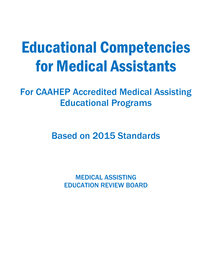# Educational Competencies for Medical Assistants

For CAAHEP Accredited Medical Assisting Educational Programs

Based on 2015 Standards

MEDICAL ASSISTING EDUCATION REVIEW BOARD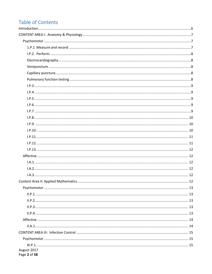# **Table of Contents**

| Content Area II: Applied Mathematics | 12 |
|--------------------------------------|----|
|                                      |    |
|                                      |    |
|                                      |    |
|                                      |    |
|                                      |    |
|                                      |    |
|                                      |    |
|                                      |    |
|                                      |    |
| August 2017<br>Page 2 of 58          |    |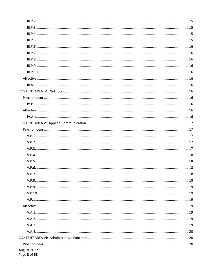| August 2017<br>Page 3 of 58 |  |
|-----------------------------|--|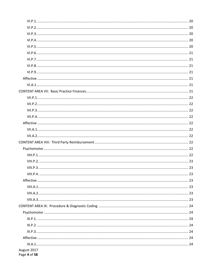| August 2017<br>Page 4 of 58 |  |
|-----------------------------|--|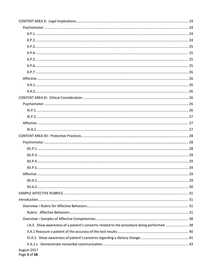| I.A.3. Show awareness of a patient's concerns related to the procedure being performed  38 |  |
|--------------------------------------------------------------------------------------------|--|
|                                                                                            |  |
|                                                                                            |  |
|                                                                                            |  |
| August 2017                                                                                |  |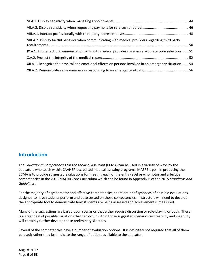| VIII.A.2. Display tactful behavior when communicating with medical providers regarding third party        |  |
|-----------------------------------------------------------------------------------------------------------|--|
| IX.A.1. Utilize tactful communication skills with medical providers to ensure accurate code selection  51 |  |
|                                                                                                           |  |
| XII.A.1. Recognize the physical and emotional effects on persons involved in an emergency situation 54    |  |
|                                                                                                           |  |

#### <span id="page-5-0"></span>**Introduction**

The *Educational Competencies for the Medical Assistant* (ECMA) can be used in a variety of ways by the educators who teach within CAAHEP-accredited medical assisting programs. MAERB's goal in producing the ECMA is to provide suggested evaluations for meeting each of the entry-level psychomotor and affective competencies in the 2015 MAERB Core Curriculum which can be found in Appendix B of the 2015 *Standards and Guidelines*.

For the majority of psychomotor and affective competencies, there are brief synopses of possible evaluations designed to have students perform and be assessed on those competencies. Instructors will need to develop the appropriate tool to demonstrate how students are being assessed and achievement is measured.

Many of the suggestions are based upon scenarios that either require discussion or role-playing or both. There is a great deal of possible variations that can occur within those suggested scenarios so creativity and ingenuity will certainly further develop those preliminary sketches

Several of the competencies have a number of evaluation options. It is definitely not required that all of them be used; rather they just indicate the range of options available to the educator.

August 2017 Page **6** of **58**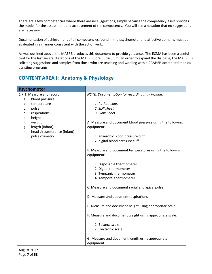There are a few competencies where there are no suggestions, simply because the competency itself provides the model for the assessment and achievement of the competency. You will see a notation that no suggestions are necessary.

Documentation of achievement of all competencies found in the psychomotor and affective domains must be evaluated in a manner consistent with the action verb.

As was outlined above, the MAERB produces this document to provide guidance. The ECMA has been a useful tool for the last several iterations of the MAERB Core Curriculum. In order to expand the dialogue, the MAERB is soliciting suggestions and samples from those who are teaching and working within CAAHEP-accredited medical assisting programs.

## <span id="page-6-0"></span>**CONTENT AREA I: Anatomy & Physiology**

<span id="page-6-2"></span><span id="page-6-1"></span>

| Psychomotor                             |                                                                        |
|-----------------------------------------|------------------------------------------------------------------------|
| 1.P.1 Measure and record:               | NOTE: Documentation for recording may include:                         |
| blood pressure<br>a.                    |                                                                        |
| b.<br>temperature                       | 1. Patient chart                                                       |
| pulse<br>c.                             | 2. Skill sheet                                                         |
| d.<br>respirations                      | 3. Flow Sheet                                                          |
| height<br>e.                            |                                                                        |
| f.<br>weight                            | A. Measure and document blood pressure using the following             |
| length (infant)<br>g.                   | equipment:                                                             |
| head circumference (infant)<br>h.<br>i. |                                                                        |
| pulse oximetry                          | 1. anaerobic blood pressure cuff<br>2. digital blood pressure cuff     |
|                                         |                                                                        |
|                                         | B. Measure and document temperatures using the following<br>equipment: |
|                                         |                                                                        |
|                                         | 1. Disposable thermometer                                              |
|                                         | 2. Digital thermometer                                                 |
|                                         | 3. Tympanic thermometer                                                |
|                                         | 4. Temporal thermometer                                                |
|                                         | C. Measure and document radial and apical pulse                        |
|                                         | D. Measure and document respirations                                   |
|                                         | E. Measure and document height using appropriate scale                 |
|                                         | F. Measure and document weight using appropriate scale:                |
|                                         | 1. Balance scale                                                       |
|                                         | 2. Electronic scale                                                    |
|                                         | G. Measure and document length using appropriate<br>equipment:         |
|                                         |                                                                        |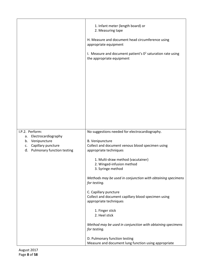<span id="page-7-4"></span><span id="page-7-3"></span><span id="page-7-2"></span><span id="page-7-1"></span><span id="page-7-0"></span>

|                                                           | 1. Infant meter (length board) or<br>2. Measuring tape<br>H. Measure and document head circumference using<br>appropriate equipment |
|-----------------------------------------------------------|-------------------------------------------------------------------------------------------------------------------------------------|
|                                                           | I. Measure and document patient's $0^2$ saturation rate using<br>the appropriate equipment                                          |
|                                                           |                                                                                                                                     |
|                                                           |                                                                                                                                     |
|                                                           |                                                                                                                                     |
| I.P.2. Perform:                                           | No suggestions needed for electrocardiography.                                                                                      |
| Electrocardiography<br>а.<br>Venipuncture<br>b.           | B. Venipuncture                                                                                                                     |
| Capillary puncture<br>c.<br>d. Pulmonary function testing | Collect and document venous blood specimen using<br>appropriate techniques                                                          |
|                                                           | 1. Multi-draw method (vacutainer)<br>2. Winged-infusion method<br>3. Syringe method                                                 |
|                                                           | Methods may be used in conjunction with obtaining specimens<br>for testing.                                                         |
|                                                           | C. Capillary puncture<br>Collect and document capillary blood specimen using<br>appropriate techniques                              |
|                                                           | 1. Finger stick<br>2. Heel stick                                                                                                    |
|                                                           | Method may be used in conjunction with obtaining specimens<br>for testing.                                                          |
|                                                           | D. Pulmonary function testing                                                                                                       |
|                                                           | Measure and document lung function using appropriate                                                                                |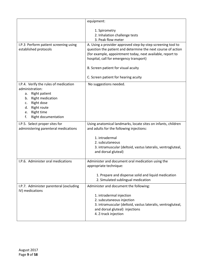<span id="page-8-4"></span><span id="page-8-3"></span><span id="page-8-2"></span><span id="page-8-1"></span><span id="page-8-0"></span>

|                                                                                                                                                                                               | equipment:                                                                                                                                                                                                                           |
|-----------------------------------------------------------------------------------------------------------------------------------------------------------------------------------------------|--------------------------------------------------------------------------------------------------------------------------------------------------------------------------------------------------------------------------------------|
|                                                                                                                                                                                               | 1. Spirometry<br>2. Inhalation challenge tests<br>3. Peak flow meter                                                                                                                                                                 |
| I.P.3 Perform patient screening using<br>established protocols                                                                                                                                | A. Using a provider approved step-by-step screening tool to<br>question the patient and determine the next course of action<br>(for example, appointment today, next available, report to<br>hospital, call for emergency transport) |
|                                                                                                                                                                                               | B. Screen patient for visual acuity                                                                                                                                                                                                  |
|                                                                                                                                                                                               | C. Screen patient for hearing acuity                                                                                                                                                                                                 |
| I.P.4. Verify the rules of medication<br>administration:<br>a. Right patient<br>b. Right medication<br>Right dose<br>C.<br>Right route<br>d.<br>Right time<br>e.<br>Right documentation<br>f. | No suggestions needed.                                                                                                                                                                                                               |
| I.P.5. Select proper sites for<br>administering parenteral medications                                                                                                                        | Using anatomical landmarks, locate sites on infants, children<br>and adults for the following injections:                                                                                                                            |
|                                                                                                                                                                                               | 1. intradermal<br>2. subcutaneous<br>3. intramuscular (deltoid, vastus lateralis, ventrogluteal,<br>and dorsal gluteal)                                                                                                              |
| I.P.6. Administer oral medications                                                                                                                                                            | Administer and document oral medication using the<br>appropriate technique:                                                                                                                                                          |
|                                                                                                                                                                                               | 1. Prepare and dispense solid and liquid medication<br>2. Simulated sublingual medication                                                                                                                                            |
| I.P.7. Administer parenteral (excluding<br>IV) medications                                                                                                                                    | Administer and document the following:                                                                                                                                                                                               |
|                                                                                                                                                                                               | 1. intradermal injection<br>2. subcutaneous injection<br>3. intramuscular (deltoid, vastus lateralis, ventrogluteal,<br>and dorsal gluteal) injections<br>4. Z-track injection                                                       |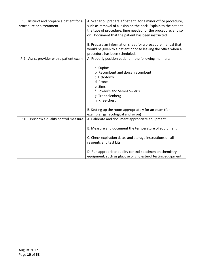<span id="page-9-2"></span><span id="page-9-1"></span><span id="page-9-0"></span>

| I.P.8. Instruct and prepare a patient for a<br>procedure or a treatment | A. Scenario: prepare a "patient" for a minor office procedure,<br>such as removal of a lesion on the back. Explain to the patient<br>the type of procedure, time needed for the procedure, and so<br>on. Document that the patient has been instructed. |
|-------------------------------------------------------------------------|---------------------------------------------------------------------------------------------------------------------------------------------------------------------------------------------------------------------------------------------------------|
|                                                                         | B. Prepare an information sheet for a procedure manual that<br>would be given to a patient prior to leaving the office when a<br>procedure has been scheduled.                                                                                          |
| I.P.9. Assist provider with a patient exam                              | A. Properly position patient in the following manners:                                                                                                                                                                                                  |
|                                                                         | a. Supine<br>b. Recumbent and dorsal recumbent<br>c. Lithotomy<br>d. Prone<br>e. Sims<br>f. Fowler's and Semi-Fowler's<br>g. Trendelenberg<br>h. Knee-chest                                                                                             |
|                                                                         | B. Setting up the room appropriately for an exam (for                                                                                                                                                                                                   |
|                                                                         | example, gynecological and so on)                                                                                                                                                                                                                       |
| I.P.10. Perform a quality control measure                               | A. Calibrate and document appropriate equipment                                                                                                                                                                                                         |
|                                                                         | B. Measure and document the temperature of equipment                                                                                                                                                                                                    |
|                                                                         | C. Check expiration dates and storage instructions on all<br>reagents and test kits                                                                                                                                                                     |
|                                                                         | D. Run appropriate quality control specimen on chemistry<br>equipment, such as glucose or cholesterol testing equipment                                                                                                                                 |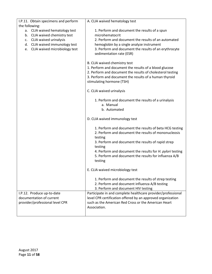<span id="page-10-1"></span><span id="page-10-0"></span>

| I.P.11. Obtain specimens and perform | A. CLIA waived hematology test                                                    |
|--------------------------------------|-----------------------------------------------------------------------------------|
| the following:                       |                                                                                   |
| a. CLIA waived hematology test       | 1. Perform and document the results of a spun                                     |
| b. CLIA waived chemistry test        | microhematocrit                                                                   |
| c. CLIA waived urinalysis            | 2. Perform and document the results of an automated                               |
| d. CLIA waived immunology test       | hemoglobin by a single analyze instrument                                         |
| e. CLIA waived microbiology test     | 3. Perform and document the results of an erythrocyte<br>sedimentation rate (ESR) |
|                                      |                                                                                   |
|                                      | B. CLIA waived chemistry test                                                     |
|                                      | 1. Perform and document the results of a blood glucose                            |
|                                      | 2. Perform and document the results of cholesterol testing                        |
|                                      | 3. Perform and document the results of a human thyroid                            |
|                                      | stimulating hormone (TSH)                                                         |
|                                      | C. CLIA waived urinalysis                                                         |
|                                      | 1. Perform and document the results of a urinalysis                               |
|                                      | a. Manual                                                                         |
|                                      | b. Automated                                                                      |
|                                      |                                                                                   |
|                                      | D. CLIA waived immunology test                                                    |
|                                      | 1. Perform and document the results of beta HCG testing                           |
|                                      | 2. Perform and document the results of mononucleosis                              |
|                                      | testing                                                                           |
|                                      | 3. Perform and document the results of rapid strep                                |
|                                      | testing                                                                           |
|                                      | 4. Perform and document the results for H. pylori testing                         |
|                                      | 5. Perform and document the results for influenza A/B<br>testing                  |
|                                      |                                                                                   |
|                                      | E. CLIA waived microbiology test                                                  |
|                                      | 1. Perform and document the results of strep testing                              |
|                                      | 2. Perform and document influenza A/B testing                                     |
|                                      | 3. Perform and document HIV testing                                               |
| I.P.12. Produce up-to-date           | Participate in and complete healthcare provider/professional                      |
| documentation of current             | level CPR certification offered by an approved organization                       |
| provider/professional level CPR      | such as the American Red Cross or the American Heart                              |
|                                      | Association.                                                                      |
|                                      |                                                                                   |
|                                      |                                                                                   |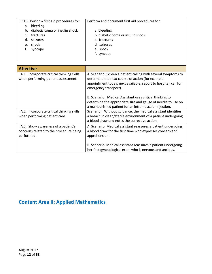<span id="page-11-0"></span>

|    | I.P.13. Perform first aid procedures for: | Perform and document first aid procedures for: |
|----|-------------------------------------------|------------------------------------------------|
| а. | bleeding                                  |                                                |
|    | b. diabetic coma or insulin shock         | a. bleeding.                                   |
| C. | fractures                                 | b. diabetic coma or insulin shock              |
|    | d. seizures                               | c. fractures                                   |
| e. | shock                                     | d. seizures                                    |
|    | syncope                                   | e. shock                                       |
|    |                                           | f. syncope                                     |
|    |                                           |                                                |

<span id="page-11-4"></span><span id="page-11-3"></span><span id="page-11-2"></span><span id="page-11-1"></span>

| <b>Affective</b>                                                                              |                                                                                                                                                                                                                 |
|-----------------------------------------------------------------------------------------------|-----------------------------------------------------------------------------------------------------------------------------------------------------------------------------------------------------------------|
| I.A.1. Incorporate critical thinking skills<br>when performing patient assessment.            | A. Scenario: Screen a patient calling with several symptoms to<br>determine the next course of action (for example,<br>appointment today, next available, report to hospital, call for<br>emergency transport). |
|                                                                                               | B. Scenario: Medical Assistant uses critical thinking to<br>determine the appropriate size and gauge of needle to use on<br>a malnourished patient for an intramuscular injection.                              |
| I.A.2. Incorporate critical thinking skills<br>when performing patient care.                  | Scenario: Without guidance, the medical assistant identifies<br>a breach in clean/sterile environment of a patient undergoing<br>a blood draw and notes the corrective action.                                  |
| I.A.3. Show awareness of a patient's<br>concerns related to the procedure being<br>performed. | A. Scenario: Medical assistant reassures a patient undergoing<br>a blood draw for the first time who expresses concern and<br>apprehension.                                                                     |
|                                                                                               | B. Scenario: Medical assistant reassures a patient undergoing<br>her first gynecological exam who is nervous and anxious.                                                                                       |

# <span id="page-11-5"></span>**Content Area II: Applied Mathematics**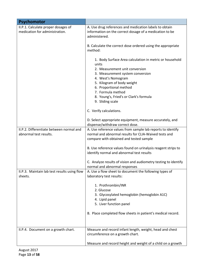<span id="page-12-4"></span><span id="page-12-3"></span><span id="page-12-2"></span><span id="page-12-1"></span><span id="page-12-0"></span>

| Psychomotor                                                           |                                                                                                                                    |
|-----------------------------------------------------------------------|------------------------------------------------------------------------------------------------------------------------------------|
| II.P.1. Calculate proper dosages of<br>medication for administration. | A. Use drug references and medication labels to obtain<br>information on the correct dosage of a medication to be<br>administered. |
|                                                                       | B. Calculate the correct dose ordered using the appropriate<br>method:                                                             |
|                                                                       | 1. Body Surface Area calculation in metric or household<br>units<br>2. Measurement unit conversion                                 |
|                                                                       | 3. Measurement system conversion                                                                                                   |
|                                                                       | 4. West's Nomogram                                                                                                                 |
|                                                                       | 5. Kilogram of body weight                                                                                                         |
|                                                                       | 6. Proportional method                                                                                                             |
|                                                                       | 7. Formula method                                                                                                                  |
|                                                                       | 8. Young's, Fried's or Clark's formula                                                                                             |
|                                                                       | 9. Sliding scale                                                                                                                   |
|                                                                       | C. Verify calculations.                                                                                                            |
|                                                                       | D. Select appropriate equipment, measure accurately, and                                                                           |
|                                                                       | dispense/withdraw correct dose.                                                                                                    |
| II.P.2. Differentiate between normal and                              | A. Use reference values from sample lab reports to identify                                                                        |
| abnormal test results.                                                | normal and abnormal results for CLIA-Waived tests and                                                                              |
|                                                                       | compare with obtained and tested sample                                                                                            |
|                                                                       | B. Use reference values found on urinalysis reagent strips to                                                                      |
|                                                                       | identify normal and abnormal test results                                                                                          |
|                                                                       | C. Analyze results of vision and audiometry testing to identify<br>normal and abnormal responses                                   |
| II.P.3. Maintain lab test results using flow<br>sheets.               | A. Use a flow sheet to document the following types of<br>laboratory test results:                                                 |
|                                                                       | 1. Prothrombin/INR                                                                                                                 |
|                                                                       | 2. Glucose                                                                                                                         |
|                                                                       | 3. Glycosylated hemoglobin (hemoglobin A1C)<br>4. Lipid panel                                                                      |
|                                                                       | 5. Liver function panel                                                                                                            |
|                                                                       |                                                                                                                                    |
|                                                                       | B. Place completed flow sheets in patient's medical record.                                                                        |
|                                                                       |                                                                                                                                    |
| II.P.4. Document on a growth chart.                                   | Measure and record infant length, weight, head and chest<br>circumference on a growth chart.                                       |
|                                                                       | Measure and record height and weight of a child on a growth                                                                        |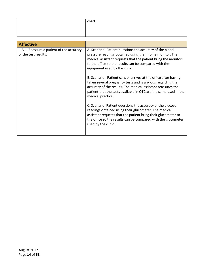| chart. |
|--------|
|        |
|        |

<span id="page-13-1"></span><span id="page-13-0"></span>

| <b>Affective</b>                                                   |                                                                                                                                                                                                                                                                                         |
|--------------------------------------------------------------------|-----------------------------------------------------------------------------------------------------------------------------------------------------------------------------------------------------------------------------------------------------------------------------------------|
| II.A.1. Reassure a patient of the accuracy<br>of the test results. | A. Scenario: Patient questions the accuracy of the blood<br>pressure readings obtained using their home monitor. The<br>medical assistant requests that the patient bring the monitor<br>to the office so the results can be compared with the<br>equipment used by the clinic.         |
|                                                                    | B. Scenario: Patient calls or arrives at the office after having<br>taken several pregnancy tests and is anxious regarding the<br>accuracy of the results. The medical assistant reassures the<br>patient that the tests available in OTC are the same used in the<br>medical practice. |
|                                                                    | C. Scenario: Patient questions the accuracy of the glucose<br>readings obtained using their glucometer. The medical<br>assistant requests that the patient bring their glucometer to<br>the office so the results can be compared with the glucometer<br>used by the clinic.            |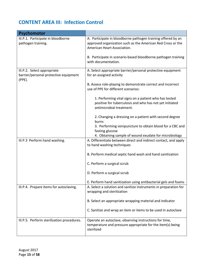# <span id="page-14-0"></span>**CONTENT AREA III: Infection Control**

<span id="page-14-6"></span><span id="page-14-5"></span><span id="page-14-4"></span><span id="page-14-3"></span><span id="page-14-2"></span><span id="page-14-1"></span>

| Psychomotor                                                                       |                                                                                                                                                            |
|-----------------------------------------------------------------------------------|------------------------------------------------------------------------------------------------------------------------------------------------------------|
| III.P.1. Participate in bloodborne<br>pathogen training.                          | A. Participate in bloodborne pathogen training offered by an<br>approved organization such as the American Red Cross or the<br>American Heart Association. |
|                                                                                   | B. Participate in scenario-based bloodborne pathogen training<br>with documentation.                                                                       |
| III.P.2. Select appropriate<br>barrier/personal protective equipment<br>$(PPE)$ . | A. Select appropriate barrier/personal protective equipment<br>for an assigned activity                                                                    |
|                                                                                   | B. Assess role-playing to demonstrate correct and incorrect<br>use of PPE for different scenarios:                                                         |
|                                                                                   | 1. Performing vital signs on a patient who has tested<br>positive for tuberculosis and who has not yet initiated<br>antimicrobial treatment.               |
|                                                                                   | 2. Changing a dressing on a patient with second degree<br>burns                                                                                            |
|                                                                                   | 3. Performing venipuncture to obtain blood for a CBC and<br>fasting glucose                                                                                |
| III.P.3 Perform hand washing.                                                     | 4. Obtaining sample of wound exudate for microbiology<br>A. Differentiate between direct and indirect contact, and apply<br>to hand washing techniques     |
|                                                                                   | B. Perform medical septic hand wash and hand sanitization                                                                                                  |
|                                                                                   | C. Perform a surgical scrub                                                                                                                                |
|                                                                                   | D. Perform a surgical scrub                                                                                                                                |
|                                                                                   | E. Perform hand sanitization using antibacterial gels and foams                                                                                            |
| III.P.4. Prepare items for autoclaving.                                           | A. Select a solution and sanitize instruments in preparation for<br>wrapping and sterilization                                                             |
|                                                                                   | B. Select an appropriate wrapping material and indicator                                                                                                   |
|                                                                                   | C. Sanitize and wrap an item or items to be used in autoclave                                                                                              |
| III.P.5. Perform sterilization procedures.                                        | Operate an autoclave, observing instructions for time,<br>temperature and pressure appropriate for the item(s) being<br>sterilized                         |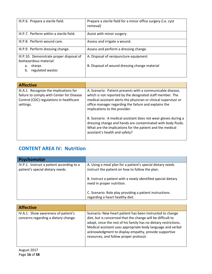<span id="page-15-3"></span><span id="page-15-2"></span><span id="page-15-1"></span><span id="page-15-0"></span>

| III.P.6. Prepare a sterile field.                                  | Prepare a sterile field for a minor office surgery (i.e. cyst<br>removal) |
|--------------------------------------------------------------------|---------------------------------------------------------------------------|
| III.P.7. Perform within a sterile field.                           | Assist with minor surgery.                                                |
| III.P.8. Perform wound care.                                       | Assess and irrigate a wound.                                              |
| III.P.9. Perform dressing change.                                  | Assess and perform a dressing change.                                     |
| III.P.10. Demonstrate proper disposal of<br>biohazardous material: | A. Disposal of venipuncture equipment                                     |
| sharps<br>а.<br>regulated wastes<br>b.                             | B. Disposal of wound dressing change material                             |

<span id="page-15-6"></span><span id="page-15-5"></span><span id="page-15-4"></span>

| <b>Affective</b>                                                                                                                             |                                                                                                                                                                                                                                                                                                                                                                                                                                                                                                                        |
|----------------------------------------------------------------------------------------------------------------------------------------------|------------------------------------------------------------------------------------------------------------------------------------------------------------------------------------------------------------------------------------------------------------------------------------------------------------------------------------------------------------------------------------------------------------------------------------------------------------------------------------------------------------------------|
| III.A.1. Recognize the implications for<br>failure to comply with Center for Disease<br>Control (CDC) regulations in healthcare<br>settings. | A. Scenario: Patient presents with a communicable disease,<br>which is not reported by the designated staff member. The<br>medical assistant alerts the physician or clinical supervisor or<br>office manager regarding the failure and explains the<br>implications to the provider.<br>B. Scenario: A medical assistant does not wear gloves during a<br>dressing change and hands are contaminated with body fluids.<br>What are the implications for the patient and the medical<br>assistant's health and safety? |
|                                                                                                                                              |                                                                                                                                                                                                                                                                                                                                                                                                                                                                                                                        |

## <span id="page-15-7"></span>**CONTENT AREA IV: Nutrition**

<span id="page-15-9"></span><span id="page-15-8"></span>

| <b>Psychomotor</b>                                                            |                                                                                                               |
|-------------------------------------------------------------------------------|---------------------------------------------------------------------------------------------------------------|
| IV.P.1. Instruct a patient according to a<br>patient's special dietary needs. | A. Using a meal plan for a patient's special dietary needs<br>instruct the patient on how to follow the plan. |
|                                                                               | B. Instruct a patient with a newly identified special dietary<br>need in proper nutrition.                    |
|                                                                               | C. Scenario: Role play providing a patient instructions<br>regarding a heart healthy diet.                    |

<span id="page-15-11"></span><span id="page-15-10"></span>

| <b>Affective</b>                                                            |                                                                                                                                                                                                                                                                                                                                                                |
|-----------------------------------------------------------------------------|----------------------------------------------------------------------------------------------------------------------------------------------------------------------------------------------------------------------------------------------------------------------------------------------------------------------------------------------------------------|
| IV.A.1. Show awareness of patient's<br>concerns regarding a dietary change. | Scenario: New heart patient has been instructed to change<br>diet, but is concerned that the change will be difficult to<br>adopt, since the rest of his family has no dietary restrictions.<br>Medical assistant uses appropriate body language and verbal<br>acknowledgment to display empathy, provide supportive<br>resources, and follow proper protocol. |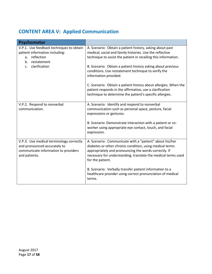# <span id="page-16-0"></span>**CONTENT AREA V: Applied Communication**

<span id="page-16-4"></span><span id="page-16-3"></span><span id="page-16-2"></span><span id="page-16-1"></span>

| Psychomotor                                                                                                                       |                                                                                                                                                                                                                                                                   |
|-----------------------------------------------------------------------------------------------------------------------------------|-------------------------------------------------------------------------------------------------------------------------------------------------------------------------------------------------------------------------------------------------------------------|
| V.P.1. Use feedback techniques to obtain<br>patient information including:<br>reflection                                          | A. Scenario: Obtain a patient history, asking about past<br>medical, social and family histories. Use the reflective                                                                                                                                              |
| a.<br>restatement<br>b.                                                                                                           | technique to assist the patient in recalling this information.                                                                                                                                                                                                    |
| clarification<br>c.                                                                                                               | B. Scenario: Obtain a patient history asking about previous<br>conditions. Use restatement technique to verify the<br>information provided.                                                                                                                       |
|                                                                                                                                   | C. Scenario: Obtain a patient history about allergies. When the<br>patient responds in the affirmative, use a clarification<br>technique to determine the patient's specific allergies.                                                                           |
| V.P.2. Respond to nonverbal<br>communication.                                                                                     | A. Scenario: Identify and respond to nonverbal<br>communication such as personal space, posture, facial<br>expressions or gestures.                                                                                                                               |
|                                                                                                                                   | B. Scenario: Demonstrate interaction with a patient or co-<br>worker using appropriate eye contact, touch, and facial<br>expression.                                                                                                                              |
| V.P.3. Use medical terminology correctly<br>and pronounced accurately to<br>communicate information to providers<br>and patients. | A. Scenario: Communicate with a "patient" about his/her<br>diabetes or other chronic condition, using medical terms<br>appropriately and pronouncing the words correctly. If<br>necessary for understanding, translate the medical terms used<br>for the patient. |
|                                                                                                                                   | B. Scenario: Verbally transfer patient information to a<br>healthcare provider using correct pronunciation of medical<br>terms.                                                                                                                                   |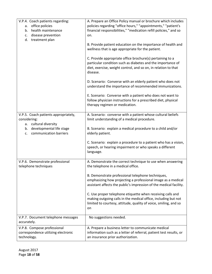<span id="page-17-4"></span><span id="page-17-3"></span><span id="page-17-2"></span><span id="page-17-1"></span><span id="page-17-0"></span>

| V.P.4. Coach patients regarding:<br>office policies<br>а.<br>health maintenance<br>b.<br>disease prevention<br>c.<br>d.<br>treatment plan       | A. Prepare an Office Policy manual or brochure which includes<br>policies regarding "office hours," "appointments," "patient's<br>financial responsibilities," "medication refill policies," and so<br>on.<br>B. Provide patient education on the importance of health and<br>wellness that is age appropriate for the patient.<br>C. Provide appropriate office brochure(s) pertaining to a<br>particular condition such as diabetes and the importance of<br>diet, exercise, weight control, and so on, in relation to that<br>disease.<br>D. Scenario: Converse with an elderly patient who does not<br>understand the importance of recommended immunizations.<br>E. Scenario: Converse with a patient who does not want to<br>follow physician instructions for a prescribed diet, physical<br>therapy regimen or medication. |
|-------------------------------------------------------------------------------------------------------------------------------------------------|------------------------------------------------------------------------------------------------------------------------------------------------------------------------------------------------------------------------------------------------------------------------------------------------------------------------------------------------------------------------------------------------------------------------------------------------------------------------------------------------------------------------------------------------------------------------------------------------------------------------------------------------------------------------------------------------------------------------------------------------------------------------------------------------------------------------------------|
| V.P.5. Coach patients appropriately,<br>considering:<br>a. cultural diversity<br>developmental life stage<br>b.<br>communication barriers<br>c. | A. Scenario: converse with a patient whose cultural beliefs<br>limit understanding of a medical procedure.<br>B. Scenario: explain a medical procedure to a child and/or<br>elderly patient.                                                                                                                                                                                                                                                                                                                                                                                                                                                                                                                                                                                                                                       |
|                                                                                                                                                 | C. Scenario: explain a procedure to a patient who has a vision,<br>speech, or hearing impairment or who speaks a different<br>language.                                                                                                                                                                                                                                                                                                                                                                                                                                                                                                                                                                                                                                                                                            |
| V.P.6. Demonstrate professional<br>telephone techniques                                                                                         | A. Demonstrate the correct technique to use when answering<br>the telephone in a medical office.                                                                                                                                                                                                                                                                                                                                                                                                                                                                                                                                                                                                                                                                                                                                   |
|                                                                                                                                                 | B. Demonstrate professional telephone techniques,<br>emphasizing how projecting a professional image as a medical<br>assistant affects the public's impression of the medical facility.                                                                                                                                                                                                                                                                                                                                                                                                                                                                                                                                                                                                                                            |
|                                                                                                                                                 | C. Use proper telephone etiquette when receiving calls and<br>making outgoing calls in the medical office, including but not<br>limited to courtesy, attitude, quality of voice, smiling, and so<br>on                                                                                                                                                                                                                                                                                                                                                                                                                                                                                                                                                                                                                             |
| V.P.7. Document telephone messages<br>accurately.                                                                                               | No suggestions needed.                                                                                                                                                                                                                                                                                                                                                                                                                                                                                                                                                                                                                                                                                                                                                                                                             |
| V.P.8. Compose professional<br>correspondence utilizing electronic<br>technology.                                                               | A. Prepare a business letter to communicate medical<br>information such as a letter of referral, patient test results, or<br>an insurance prior authorization.                                                                                                                                                                                                                                                                                                                                                                                                                                                                                                                                                                                                                                                                     |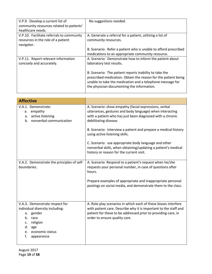<span id="page-18-2"></span><span id="page-18-1"></span><span id="page-18-0"></span>

| V.P.9. Develop a current list of<br>community resources related to patients'<br>healthcare needs. | No suggestions needed.                                                                                                                                                                                                              |
|---------------------------------------------------------------------------------------------------|-------------------------------------------------------------------------------------------------------------------------------------------------------------------------------------------------------------------------------------|
| V.P.10. Facilitate referrals to community<br>resources in the role of a patient<br>navigator.     | A. Generate a referral for a patient, utilizing a list of<br>community resources.                                                                                                                                                   |
|                                                                                                   | B. Scenario: Refer a patient who is unable to afford prescribed<br>medications to an appropriate community resource.                                                                                                                |
| V.P.11. Report relevant information<br>concisely and accurately.                                  | A. Scenario: Demonstrate how to inform the patient about<br>laboratory test results.                                                                                                                                                |
|                                                                                                   | B. Scenario: The patient reports inability to take the<br>prescribed medication. Obtain the reason for the patient being<br>unable to take the medication and a telephone message for<br>the physician documenting the information. |

<span id="page-18-6"></span><span id="page-18-5"></span><span id="page-18-4"></span><span id="page-18-3"></span>

| <b>Affective</b>                                                                                                                                                         |                                                                                                                                                                                                                                                                                                                                                                                                                                                                                  |
|--------------------------------------------------------------------------------------------------------------------------------------------------------------------------|----------------------------------------------------------------------------------------------------------------------------------------------------------------------------------------------------------------------------------------------------------------------------------------------------------------------------------------------------------------------------------------------------------------------------------------------------------------------------------|
| V.A.1. Demonstrate:<br>empathy<br>а.<br>active listening<br>а.<br>b. nonverbal communication                                                                             | A. Scenario: show empathy (facial expressions, verbal<br>utterances, gestures and body language) when interacting<br>with a patient who has just been diagnosed with a chronic<br>debilitating disease.<br>B. Scenario: Interview a patient and prepare a medical history<br>using active listening skills.<br>C. Scenario: use appropriate body language and other<br>nonverbal skills, when obtaining/updating a patient's medical<br>history or reason for the current visit. |
| V.A.2. Demonstrate the principles of self-<br>boundaries.                                                                                                                | A. Scenario: Respond to a patient's request when he/she<br>requests your personal number, in case of questions after<br>hours.<br>Prepare examples of appropriate and inappropriate personal<br>postings on social media, and demonstrate them to the class.                                                                                                                                                                                                                     |
| V.A.3. Demonstrate respect for<br>individual diversity including:<br>gender<br>a.<br>b. race<br>religion<br>c.<br>d.<br>age<br>economic status<br>e.<br>f.<br>appearance | A. Role-play scenarios in which each of these biases interfere<br>with patient care. Describe why it is important to the staff and<br>patient for these to be addressed prior to providing care, in<br>order to ensure quality care.                                                                                                                                                                                                                                             |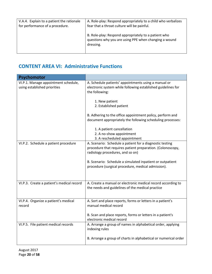<span id="page-19-0"></span>

| V.A.4. Explain to a patient the rationale<br>for performance of a procedure. | A. Role-play: Respond appropriately to a child who verbalizes<br>fear that a throat culture will be painful.               |  |
|------------------------------------------------------------------------------|----------------------------------------------------------------------------------------------------------------------------|--|
|                                                                              | B. Role-play: Respond appropriately to a patient who<br>questions why you are using PPE when changing a wound<br>dressing. |  |

## <span id="page-19-1"></span>**CONTENT AREA VI: Administrative Functions**

<span id="page-19-7"></span><span id="page-19-6"></span><span id="page-19-5"></span><span id="page-19-4"></span><span id="page-19-3"></span><span id="page-19-2"></span>

| Psychomotor                                                          |                                                                                                                                                            |
|----------------------------------------------------------------------|------------------------------------------------------------------------------------------------------------------------------------------------------------|
| VI.P.1. Manage appointment schedule,<br>using established priorities | A. Schedule patients' appointments using a manual or<br>electronic system while following established guidelines for<br>the following:                     |
|                                                                      | 1. New patient<br>2. Established patient                                                                                                                   |
|                                                                      | B. Adhering to the office appointment policy, perform and                                                                                                  |
|                                                                      | document appropriately the following scheduling processes:                                                                                                 |
|                                                                      | 1. A patient cancellation<br>2. A no-show appointment<br>3. A rescheduled appointment                                                                      |
| VI.P.2. Schedule a patient procedure                                 | A. Scenario: Schedule a patient for a diagnostic testing<br>procedure that requires patient preparation. (Colonoscopy,<br>radiology procedures, and so on) |
|                                                                      | B. Scenario: Schedule a simulated inpatient or outpatient<br>procedure (surgical procedure, medical admission).                                            |
| VI.P.3. Create a patient's medical record                            | A. Create a manual or electronic medical record according to<br>the needs and guidelines of the medical practice                                           |
| VI.P.4. Organize a patient's medical<br>record                       | A. Sort and place reports, forms or letters in a patient's<br>manual medical record                                                                        |
|                                                                      | B. Scan and place reports, forms or letters in a patient's<br>electronic medical record                                                                    |
| VI.P.5. File patient medical records                                 | A. Arrange a group of names in alphabetical order, applying<br>indexing rules                                                                              |
|                                                                      | B. Arrange a group of charts in alphabetical or numerical order                                                                                            |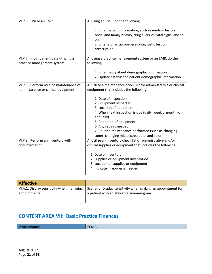<span id="page-20-2"></span><span id="page-20-1"></span><span id="page-20-0"></span>

| VI.P.6. Utilize an EMR                                                         | A. Using an EMR, do the following:                                                                                                                                                                 |
|--------------------------------------------------------------------------------|----------------------------------------------------------------------------------------------------------------------------------------------------------------------------------------------------|
|                                                                                | 1. Enter patient information, such as medical history,<br>social and family history, drug allergies, vital signs, and so<br>on.<br>2. Enter a physician-ordered diagnostic test or<br>prescription |
| VI.P.7. Input patient data utilizing a<br>practice management system           | A. Using a practice management system or an EMR, do the<br>following:                                                                                                                              |
|                                                                                | 1. Enter new patient demographic information<br>2. Update established patient demographic information                                                                                              |
| VI.P.8. Perform routine maintenance of<br>administrative or clinical equipment | A. Utilize a maintenance check list for administrative or clinical<br>equipment that includes the following:                                                                                       |
|                                                                                | 1. Date of inspection                                                                                                                                                                              |
|                                                                                | 2. Equipment inspected                                                                                                                                                                             |
|                                                                                | 3. Location of equipment                                                                                                                                                                           |
|                                                                                | 4. When next inspection is due (daily, weekly, monthly,<br>annually)                                                                                                                               |
|                                                                                | 5. Condition of equipment                                                                                                                                                                          |
|                                                                                | 6. Any repairs needed                                                                                                                                                                              |
|                                                                                | 7. Routine maintenance performed (such as changing<br>toner, changing microscope bulb, and so on)                                                                                                  |
| VI.P.9. Perform an inventory with                                              | A. Utilize an inventory check list of administrative and/or                                                                                                                                        |
| documentation                                                                  | clinical supplies or equipment that includes the following:                                                                                                                                        |
|                                                                                | 1. Date of inventory                                                                                                                                                                               |
|                                                                                | 2. Supplies or equipment inventoried                                                                                                                                                               |
|                                                                                | 3. Location of supplies or equipment                                                                                                                                                               |
|                                                                                | 4. Indicate if reorder is needed                                                                                                                                                                   |

<span id="page-20-5"></span><span id="page-20-4"></span><span id="page-20-3"></span>

| Scenario: Display sensitivity when making an appointment for<br>a patient with an abnormal mammogram. |
|-------------------------------------------------------------------------------------------------------|
|                                                                                                       |
|                                                                                                       |

## <span id="page-20-6"></span>**CONTENT AREA VII: Basic Practice Finances**

**Psychomotor ECMA**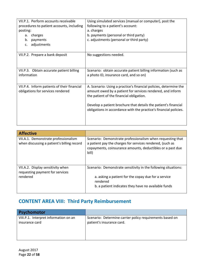<span id="page-21-2"></span><span id="page-21-1"></span><span id="page-21-0"></span>

| VII.P.1. Perform accounts receivable<br>procedures to patient accounts, including<br>posting:<br>charges<br>а.<br>b.<br>payments<br>adjustments<br>c. | Using simulated services (manual or computer), post the<br>following to a patient's account:<br>a. charges<br>b. payments (personal or third party)<br>c. adjustments (personal or third party)                                                                                                                     |
|-------------------------------------------------------------------------------------------------------------------------------------------------------|---------------------------------------------------------------------------------------------------------------------------------------------------------------------------------------------------------------------------------------------------------------------------------------------------------------------|
| VII.P.2. Prepare a bank deposit                                                                                                                       | No suggestions needed.                                                                                                                                                                                                                                                                                              |
| VII.P.3. Obtain accurate patient billing<br>information                                                                                               | Scenario: obtain accurate patient billing information (such as<br>a photo ID, insurance card, and so on)                                                                                                                                                                                                            |
| VII.P.4. Inform patients of their financial<br>obligations for services rendered                                                                      | A. Scenario: Using a practice's financial policies, determine the<br>amount owed by a patient for services rendered, and inform<br>the patient of the financial obligation.<br>Develop a patient brochure that details the patient's financial<br>obligations in accordance with the practice's financial policies. |

<span id="page-21-5"></span><span id="page-21-4"></span><span id="page-21-3"></span>

| <b>Affective</b>                                                                   |                                                                                                                                                                                                |
|------------------------------------------------------------------------------------|------------------------------------------------------------------------------------------------------------------------------------------------------------------------------------------------|
| VII.A.1. Demonstrate professionalism<br>when discussing a patient's billing record | Scenario: Demonstrate professionalism when requesting that<br>a patient pay the charges for services rendered, (such as<br>copayments, coinsurance amounts, deductibles or a past due<br>bill) |
| VII.A.2. Display sensitivity when<br>requesting payment for services<br>rendered   | Scenario: Demonstrate sensitivity in the following situations:<br>a. asking a patient for the copay due for a service<br>rendered<br>b. a patient indicates they have no available funds       |

# <span id="page-21-7"></span><span id="page-21-6"></span>**CONTENT AREA VIII: Third Party Reimbursement**

<span id="page-21-9"></span><span id="page-21-8"></span>

| <b>Psychomotor</b>                    |                                                          |
|---------------------------------------|----------------------------------------------------------|
| VIII.P.1. Interpret information on an | Scenario: Determine carrier policy requirements based on |
| insurance card                        | patient's insurance card.                                |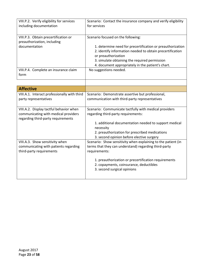<span id="page-22-6"></span><span id="page-22-5"></span><span id="page-22-4"></span><span id="page-22-3"></span><span id="page-22-2"></span><span id="page-22-1"></span><span id="page-22-0"></span>

| VIII.P.2. Verify eligibility for services<br>including documentation       | Scenario: Contact the insurance company and verify eligibility<br>for services                                                                                                                  |
|----------------------------------------------------------------------------|-------------------------------------------------------------------------------------------------------------------------------------------------------------------------------------------------|
| VIII.P.3. Obtain precertification or<br>preauthorization, including        | Scenario focused on the following:                                                                                                                                                              |
| documentation                                                              | 1. determine need for precertification or preauthorization<br>2. identify information needed to obtain precertification<br>or preauthorization<br>3. simulate obtaining the required permission |
|                                                                            | 4. document appropriately in the patient's chart.                                                                                                                                               |
| VIII.P.4. Complete an insurance claim<br>form                              | No suggestions needed.                                                                                                                                                                          |
|                                                                            |                                                                                                                                                                                                 |
| <b>Affective</b>                                                           |                                                                                                                                                                                                 |
| VIII.A.1. Interact professionally with third                               | Scenario: Demonstrate assertive but professional,                                                                                                                                               |
| party representatives                                                      | communication with third-party representatives                                                                                                                                                  |
| VIII.A.2. Display tactful behavior when                                    | Scenario: Communicate tactfully with medical providers                                                                                                                                          |
| communicating with medical providers<br>regarding third-party requirements | regarding third-party requirements:                                                                                                                                                             |
|                                                                            | 1. additional documentation needed to support medical<br>necessity                                                                                                                              |
|                                                                            | 2. preauthorization for prescribed medications                                                                                                                                                  |
|                                                                            | 3. second opinion before elective surgery                                                                                                                                                       |
| VIII.A.3. Show sensitivity when<br>communicating with patients regarding   | Scenario: Show sensitivity when explaining to the patient (in<br>terms that they can understand) regarding third-party                                                                          |
| third-party requirements                                                   | requirements:                                                                                                                                                                                   |
|                                                                            | 1. preauthorization or precertification requirements                                                                                                                                            |
|                                                                            | 2. copayments, coinsurance, deductibles                                                                                                                                                         |
|                                                                            | 3. second surgical opinions                                                                                                                                                                     |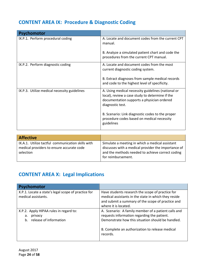# <span id="page-23-0"></span>**CONTENT AREA IX: Procedure & Diagnostic Coding**

<span id="page-23-3"></span><span id="page-23-2"></span><span id="page-23-1"></span>

| <b>Psychomotor</b>                           |                                                                                                                                                                         |
|----------------------------------------------|-------------------------------------------------------------------------------------------------------------------------------------------------------------------------|
| IX.P.1. Perform procedural coding            | A. Locate and document codes from the current CPT<br>manual.                                                                                                            |
|                                              | B. Analyze a simulated patient chart and code the<br>procedures from the current CPT manual.                                                                            |
| IX.P.2. Perform diagnostic coding            | A. Locate and document codes from the most<br>current diagnostic coding system.                                                                                         |
|                                              | B. Extract diagnoses from sample medical records<br>and code to the highest level of specificity.                                                                       |
| IX.P.3. Utilize medical necessity guidelines | A. Using medical necessity guidelines (national or<br>local), review a case study to determine if the<br>documentation supports a physician ordered<br>diagnostic test. |
|                                              | B. Scenario: Link diagnostic codes to the proper<br>procedure codes based on medical necessity<br>guidelines                                                            |

<span id="page-23-6"></span><span id="page-23-5"></span><span id="page-23-4"></span>

| <b>Affective</b>                                  |                                                     |
|---------------------------------------------------|-----------------------------------------------------|
| IX.A.1. Utilize tactful communication skills with | Simulate a meeting in which a medical assistant     |
| medical providers to ensure accurate code         | discusses with a medical provider the importance of |
| selection                                         | and the methods needed to achieve correct coding    |
|                                                   | for reimbursement.                                  |
|                                                   |                                                     |

# <span id="page-23-7"></span>**CONTENT AREA X: Legal Implications**

<span id="page-23-10"></span><span id="page-23-9"></span><span id="page-23-8"></span>

| <b>Psychomotor</b>                                                                      |                                                                                                                                                                                                                        |
|-----------------------------------------------------------------------------------------|------------------------------------------------------------------------------------------------------------------------------------------------------------------------------------------------------------------------|
| X.P.1. Locate a state's legal scope of practice for<br>medical assistants.              | Have students research the scope of practice for<br>medical assistants in the state in which they reside<br>and submit a summary of the scope of practice and<br>where it is located.                                  |
| X.P.2. Apply HIPAA rules in regard to:<br>privacy<br>a.<br>release of information<br>b. | A. Scenario: A family member of a patient calls and<br>requests information regarding the patient.<br>Demonstrate how this situation should be handled.<br>B. Complete an authorization to release medical<br>records. |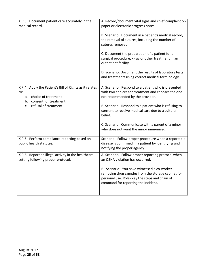<span id="page-24-3"></span><span id="page-24-2"></span><span id="page-24-1"></span><span id="page-24-0"></span>

| X.P.3. Document patient care accurately in the<br>medical record.                                                          | A. Record/document vital signs and chief complaint on<br>paper or electronic progress notes.                                                                                               |
|----------------------------------------------------------------------------------------------------------------------------|--------------------------------------------------------------------------------------------------------------------------------------------------------------------------------------------|
|                                                                                                                            | B. Scenario: Document in a patient's medical record,<br>the removal of sutures, including the number of<br>sutures removed.                                                                |
|                                                                                                                            | C. Document the preparation of a patient for a<br>surgical procedure, x-ray or other treatment in an<br>outpatient facility.                                                               |
|                                                                                                                            | D. Scenario: Document the results of laboratory tests<br>and treatments using correct medical terminology.                                                                                 |
| X.P.4. Apply the Patient's Bill of Rights as it relates<br>to:<br>choice of treatment<br>а.<br>consent for treatment<br>b. | A. Scenario: Respond to a patient who is presented<br>with two choices for treatment and chooses the one<br>not recommended by the provider.                                               |
| refusal of treatment<br>c.                                                                                                 | B. Scenario: Respond to a patient who is refusing to<br>consent to receive medical care due to a cultural<br>belief.                                                                       |
|                                                                                                                            | C. Scenario: Communicate with a parent of a minor<br>who does not want the minor immunized.                                                                                                |
| X.P.5. Perform compliance reporting based on<br>public health statutes.                                                    | Scenario: Follow proper procedure when a reportable<br>disease is confirmed in a patient by identifying and<br>notifying the proper agency.                                                |
| X.P.6. Report an illegal activity in the healthcare<br>setting following proper protocol.                                  | A. Scenario: Follow proper reporting protocol when<br>an OSHA violation has occurred.                                                                                                      |
|                                                                                                                            | B. Scenario: You have witnessed a co-worker<br>removing drug samples from the storage cabinet for<br>personal use. Role-play the steps and chain of<br>command for reporting the incident. |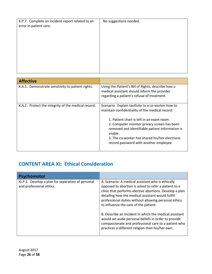<span id="page-25-0"></span>

| X.P.7. Complete an incident report related to an<br>error in patient care. | No suggestions needed. |
|----------------------------------------------------------------------------|------------------------|
|                                                                            |                        |

<span id="page-25-3"></span><span id="page-25-2"></span><span id="page-25-1"></span>

| <b>Affective</b>                                    |                                                                                                                                                                                                                                                                                                                                                            |
|-----------------------------------------------------|------------------------------------------------------------------------------------------------------------------------------------------------------------------------------------------------------------------------------------------------------------------------------------------------------------------------------------------------------------|
| X.A.1. Demonstrate sensitivity to patient rights.   | Using the Patient's Bill of Rights, describe how a<br>medical assistant should inform the provider<br>regarding a patient's refusal of treatment.                                                                                                                                                                                                          |
| X.A.2. Protect the integrity of the medical record. | Scenario: Explain tactfully to a co-worker how to<br>maintain confidentiality of the medical record.<br>1. Patient chart is left in an exam room.<br>2. Computer monitor privacy screen has been<br>removed and identifiable patient information is<br>visible.<br>3. The co-worker has shared his/her electronic<br>record password with another employee |

# <span id="page-25-4"></span>**CONTENT AREA XI: Ethical Consideration**

<span id="page-25-6"></span><span id="page-25-5"></span>

| <b>Psychomotor</b>                                                            |                                                                                                                                                                                                                                                                                                                                                                                                                                                                                                                                                          |
|-------------------------------------------------------------------------------|----------------------------------------------------------------------------------------------------------------------------------------------------------------------------------------------------------------------------------------------------------------------------------------------------------------------------------------------------------------------------------------------------------------------------------------------------------------------------------------------------------------------------------------------------------|
| XI.P.1. Develop a plan for separation of personal<br>and professional ethics. | A. Scenario: A medical assistant who is ethically<br>opposed to abortion is asked to refer a patient to a<br>clinic that performs elective abortions. Develop a plan<br>detailing how the medical assistant would fulfill<br>professional duties without allowing personal ethics<br>to influence the care of the patient.<br>B. Describe an incident in which the medical assistant<br>would set aside personal beliefs in order to provide<br>compassionate and professional care to a patient who<br>practices a different religion than his/her own. |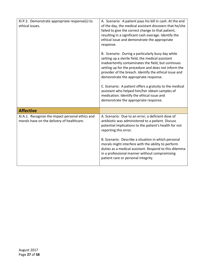<span id="page-26-2"></span><span id="page-26-1"></span><span id="page-26-0"></span>

| XI.P.2. Demonstrate appropriate response(s) to<br>ethical issues.                              | A. Scenario: A patient pays his bill in cash. At the end<br>of the day, the medical assistant discovers that he/she<br>failed to give the correct change to that patient,<br>resulting in a significant cash overage. Identify the<br>ethical issue and demonstrate the appropriate<br>response.                                                                                                                                                                                                                             |
|------------------------------------------------------------------------------------------------|------------------------------------------------------------------------------------------------------------------------------------------------------------------------------------------------------------------------------------------------------------------------------------------------------------------------------------------------------------------------------------------------------------------------------------------------------------------------------------------------------------------------------|
|                                                                                                | B. Scenario: During a particularly busy day while<br>setting up a sterile field, the medical assistant<br>inadvertently contaminates the field, but continues<br>setting up for the procedure and does not inform the<br>provider of the breach. Identify the ethical issue and<br>demonstrate the appropriate response.<br>C. Scenario: A patient offers a gratuity to the medical<br>assistant who helped him/her obtain samples of<br>medication. Identify the ethical issue and<br>demonstrate the appropriate response. |
| <b>Affective</b>                                                                               |                                                                                                                                                                                                                                                                                                                                                                                                                                                                                                                              |
| XI.A.1. Recognize the impact personal ethics and<br>morals have on the delivery of healthcare. | A. Scenario: Due to an error, a deficient dose of<br>antibiotic was administered to a patient. Discuss<br>potential implications to the patient's health for not<br>reporting this error.<br>B. Scenario: Describe a situation in which personal                                                                                                                                                                                                                                                                             |
|                                                                                                | morals might interfere with the ability to perform<br>duties as a medical assistant. Respond to this dilemma<br>in a professional manner without compromising<br>patient care or personal integrity.                                                                                                                                                                                                                                                                                                                         |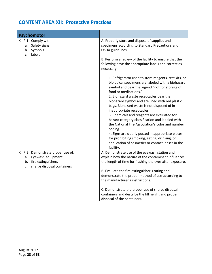# <span id="page-27-0"></span>**CONTENT AREA XII: Protective Practices**

<span id="page-27-2"></span><span id="page-27-1"></span>

| Psychomotor                                                                                                              |                                                                                                                                                                                                                                                                                                                                                                                                                                                                                                                                                                                                                                                                                                          |
|--------------------------------------------------------------------------------------------------------------------------|----------------------------------------------------------------------------------------------------------------------------------------------------------------------------------------------------------------------------------------------------------------------------------------------------------------------------------------------------------------------------------------------------------------------------------------------------------------------------------------------------------------------------------------------------------------------------------------------------------------------------------------------------------------------------------------------------------|
| XII.P.1. Comply with:<br>a. Safety signs<br>b. Symbols<br>labels<br>c.                                                   | A. Properly store and dispose of supplies and<br>specimens according to Standard Precautions and<br>OSHA guidelines.<br>B. Perform a review of the facility to ensure that the                                                                                                                                                                                                                                                                                                                                                                                                                                                                                                                           |
|                                                                                                                          | following have the appropriate labels and correct as<br>necessary:                                                                                                                                                                                                                                                                                                                                                                                                                                                                                                                                                                                                                                       |
|                                                                                                                          | 1. Refrigerator used to store reagents, test kits, or<br>biological specimens are labeled with a biohazard<br>symbol and bear the legend "not for storage of<br>food or medications."<br>2. Biohazard waste receptacles bear the<br>biohazard symbol and are lined with red plastic<br>bags. Biohazard waste is not disposed of in<br>inappropriate receptacles<br>3. Chemicals and reagents are evaluated for<br>hazard category classification and labeled with<br>the National Fire Association's color and number<br>coding.<br>4. Signs are clearly posted in appropriate places<br>for prohibiting smoking, eating, drinking, or<br>application of cosmetics or contact lenses in the<br>facility. |
| XII.P.2. Demonstrate proper use of:<br>a. Eyewash equipment<br>b. fire extinguishers<br>sharps disposal containers<br>c. | A. Demonstrate use of the eyewash station and<br>explain how the nature of the contaminant influences<br>the length of time for flushing the eyes after exposure.                                                                                                                                                                                                                                                                                                                                                                                                                                                                                                                                        |
|                                                                                                                          | B. Evaluate the fire extinguisher's rating and<br>demonstrate the proper method of use according to<br>the manufacturer's instructions.                                                                                                                                                                                                                                                                                                                                                                                                                                                                                                                                                                  |
|                                                                                                                          | C. Demonstrate the proper use of sharps disposal<br>containers and describe the fill height and proper<br>disposal of the containers.                                                                                                                                                                                                                                                                                                                                                                                                                                                                                                                                                                    |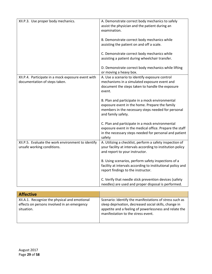<span id="page-28-1"></span><span id="page-28-0"></span>

| XII.P.3. Use proper body mechanics.                                                 | A. Demonstrate correct body mechanics to safely<br>assist the physician and the patient during an<br>examination.                                                              |  |  |
|-------------------------------------------------------------------------------------|--------------------------------------------------------------------------------------------------------------------------------------------------------------------------------|--|--|
|                                                                                     | B. Demonstrate correct body mechanics while<br>assisting the patient on and off a scale.                                                                                       |  |  |
|                                                                                     | C. Demonstrate correct body mechanics while<br>assisting a patient during wheelchair transfer.                                                                                 |  |  |
|                                                                                     | D. Demonstrate correct body mechanics while lifting<br>or moving a heavy box.                                                                                                  |  |  |
| XII.P.4. Participate in a mock exposure event with<br>documentation of steps taken. | A. Use a scenario to identify exposure control<br>mechanisms in a simulated exposure event and<br>document the steps taken to handle the exposure<br>event.                    |  |  |
|                                                                                     | B. Plan and participate in a mock environmental<br>exposure event in the home. Prepare the family<br>members in the necessary steps needed for personal<br>and family safety.  |  |  |
|                                                                                     | C. Plan and participate in a mock environmental<br>exposure event in the medical office. Prepare the staff<br>in the necessary steps needed for personal and patient<br>safety |  |  |
| XII.P.5. Evaluate the work environment to identify<br>unsafe working conditions.    | A. Utilizing a checklist, perform a safety inspection of<br>your facility at intervals according to institution policy<br>and report to your instructor.                       |  |  |
|                                                                                     | B. Using scenarios, perform safety inspections of a<br>facility at intervals according to institutional policy and<br>report findings to the instructor.                       |  |  |
|                                                                                     | C. Verify that needle stick prevention devices (safety<br>needles) are used and proper disposal is performed.                                                                  |  |  |
|                                                                                     |                                                                                                                                                                                |  |  |

<span id="page-28-4"></span><span id="page-28-3"></span><span id="page-28-2"></span>

| <b>Affective</b>                              |                                                         |
|-----------------------------------------------|---------------------------------------------------------|
| XII.A.1. Recognize the physical and emotional | Scenario: Identify the manifestations of stress such as |
| effects on persons involved in an emergency   | sleep deprivation, decreased social skills, change in   |
| situation.                                    | appetite and a feeling of powerlessness and relate the  |
|                                               | manifestation to the stress event.                      |
|                                               |                                                         |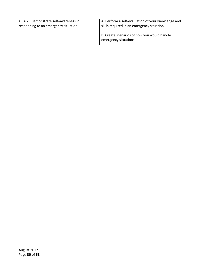<span id="page-29-0"></span>

| XII.A.2. Demonstrate self-awareness in | A. Perform a self-evaluation of your knowledge and                   |
|----------------------------------------|----------------------------------------------------------------------|
| responding to an emergency situation.  | skills required in an emergency situation.                           |
|                                        | B. Create scenarios of how you would handle<br>emergency situations. |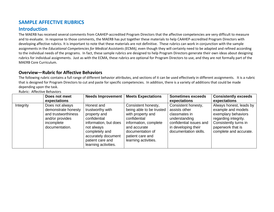## **SAMPLE AFFECTIVE RUBRICS**

#### **Introduction**

The MAERB has received several comments from CAAHEP-accredited Program Directors that the affective competencies are very difficult to measure and to evaluate. In response to those comments, the MAERB has put together these materials to help CAAHEP-accredited Program Directors with developing affective rubrics. It is important to note that these materials are not definitive. These rubrics can work in conjunction with the sample assignments in the *Educational Competencies for Medical Assistants (ECMA)*, even though they will certainly need to be adapted and refined according to the individual needs of the programs. In fact, these sample rubrics are designed to help Program Directors generate their own ideas about designing rubrics for individual assignments. Just as with the ECMA, these rubrics are optional for Program Directors to use, and they are not formally part of the MAERB Core Curriculum.

#### **Overview—Rubric for Affective Behaviors**

<span id="page-30-0"></span>The following rubric contains a full range of different behavior attributes, and sections of it can be used effectively in different assignments. It is a rubric that is designed for Program Directors to cut and paste for specific competencies. In addition, there is a variety of additions that could be made depending upon the task.

<span id="page-30-1"></span>Rubric: Affective Behaviors

<span id="page-30-3"></span><span id="page-30-2"></span>

|           | Does not meet<br>expectations                                                                                    | <b>Needs Improvement</b>                                                                                                                                                                   | <b>Meets Expectations</b>                                                                                                                                                                     | <b>Sometimes exceeds</b><br>expectations                                                                                                          | <b>Consistently exceeds</b><br>expectations                                                                                                                          |
|-----------|------------------------------------------------------------------------------------------------------------------|--------------------------------------------------------------------------------------------------------------------------------------------------------------------------------------------|-----------------------------------------------------------------------------------------------------------------------------------------------------------------------------------------------|---------------------------------------------------------------------------------------------------------------------------------------------------|----------------------------------------------------------------------------------------------------------------------------------------------------------------------|
| Integrity | Does not always<br>demonstrate honesty<br>and trustworthiness<br>and/or provides<br>incomplete<br>documentation. | Honest and<br>trustworthy with<br>property and<br>confidential<br>information, but does<br>not always<br>completely and<br>accurately document<br>patient care and<br>learning activities. | Consistent honesty,<br>being able to be trusted<br>with property and<br>confidential<br>information, complete<br>and accurate<br>documentation of<br>patient care and<br>learning activities. | Consistent honesty,<br>assists other<br>classmates in<br>understanding<br>confidential issues and<br>in developing their<br>documentation skills. | Always honest, leads by<br>example and models<br>exemplary behaviors<br>regarding integrity.<br>Consistently turns in<br>paperwork that is<br>complete and accurate. |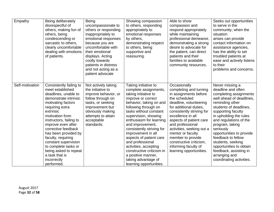| Empathy         | Being deliberately<br>disrespectful of<br>others, making fun of<br>others, being<br>condescending or<br>sarcastic to others,<br>clearly uncomfortable<br>dealing with emotions<br>of patients.                                                                                                                                                                                                                      | <b>Being</b><br>uncompassionate to<br>others or responding<br>inappropriately to<br>emotional responses<br>because you are<br>uncomfortable with<br>their emotional<br>displays. Acting<br>coolly towards<br>patients in distress<br>and not acting as a<br>patient advocate | Showing compassion<br>to others, responding<br>appropriately to<br>emotional responses<br>by others,<br>demonstrating respect<br>to others, being<br>supportive and<br>reassuring.                                                                                                                                                                                                                                                                                              | Able to show<br>compassion and<br>respond appropriately<br>while maintaining<br>professional demeanor,<br>demonstrating a strong<br>desire to advocate for<br>the patient, can direct<br>patients and their<br>families to available<br>community resources.                                                                                                                               | Seeks out opportunities<br>to serve in the<br>community, when the<br>situation<br>arises can provide<br>contact information on<br>assistance agencies,<br>has the ability to set<br>troubled patients at<br>ease and actively listens<br>to their<br>problems and concerns.                                                                                                                                                 |
|-----------------|---------------------------------------------------------------------------------------------------------------------------------------------------------------------------------------------------------------------------------------------------------------------------------------------------------------------------------------------------------------------------------------------------------------------|------------------------------------------------------------------------------------------------------------------------------------------------------------------------------------------------------------------------------------------------------------------------------|---------------------------------------------------------------------------------------------------------------------------------------------------------------------------------------------------------------------------------------------------------------------------------------------------------------------------------------------------------------------------------------------------------------------------------------------------------------------------------|--------------------------------------------------------------------------------------------------------------------------------------------------------------------------------------------------------------------------------------------------------------------------------------------------------------------------------------------------------------------------------------------|-----------------------------------------------------------------------------------------------------------------------------------------------------------------------------------------------------------------------------------------------------------------------------------------------------------------------------------------------------------------------------------------------------------------------------|
| Self-motivation | Consistently failing to<br>meet established<br>deadlines, unable to<br>demonstrate intrinsic<br>motivating factors<br>requiring extra<br>extrinsic<br>motivation from<br>instructors, failing to<br>improve even after<br>corrective feedback<br>has been provided by<br>faculty, requiring<br>constant supervision<br>to complete tasks or<br>being asked to repeat<br>a task that is<br>incorrectly<br>performed. | Not actively taking<br>the initiative to<br>improve behavior, or<br>follow through on<br>tasks, or seeking<br>improvement but<br>obviously making<br>attempts to attain<br>acceptable<br>standards.                                                                          | Taking initiative to<br>complete assignments,<br>taking initiative to<br>improve or correct<br>behavior, taking on and<br>following through on<br>tasks without constant<br>supervision, showing<br>enthusiasm for learning<br>and improvement,<br>consistently striving for<br>improvement in all<br>aspects of patient care<br>and professional<br>activities, accepting<br>constructive criticism in<br>a positive manner,<br>taking advantage of<br>learning opportunities. | Occasionally<br>completing and turning<br>in assignments before<br>the scheduled<br>deadline, volunteering<br>for additional duties,<br>consistently striving for<br>excellence in all<br>aspects of patient care<br>and professional<br>activities, seeking out a<br>mentor or faculty<br>member to provide<br>constructive criticism,<br>informing faculty of<br>learning opportunities. | Never missing a<br>deadline and often<br>completing assignments<br>well ahead of deadlines,<br>reminding other<br>students of deadlines,<br>supporting faculty<br>in upholding the rules<br>and regulations of the<br>program, taking<br>seriously<br>opportunities to provide<br>feedback to fellow<br>students, seeking<br>opportunities to obtain<br>feedback, assisting in<br>arranging and<br>coordinating activities. |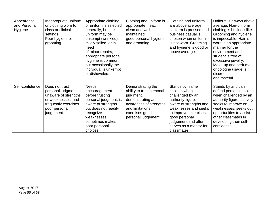| Appearance<br>and Personal<br>Hygiene | Inappropriate uniform<br>or clothing worn to<br>class or clinical<br>settings.<br>Poor hygiene or<br>grooming.                               | Appropriate clothing<br>or uniform is selected<br>generally, but the<br>uniform may be<br>unkempt (wrinkled),<br>mildly soiled, or in<br>need<br>of minor repairs,<br>appropriate personal<br>hygiene is common,<br>but occasionally the<br>individual is unkempt<br>or disheveled. | Clothing and uniform is<br>appropriate, neat,<br>clean and well-<br>maintained,<br>good personal hygiene<br>and grooming.                                              | Clothing and uniform<br>are above average.<br>Uniform is pressed and<br>business casual is<br>chosen when uniform<br>is not worn. Grooming<br>and hygiene is good or<br>above average.                                                 | Uniform is always above<br>average. Non-uniform<br>clothing is businesslike.<br>Grooming and hygiene<br>is impeccable. Hair is<br>worn in an appropriate<br>manner for the<br>environment and<br>student is free of<br>excessive jewelry.<br>Make-up and perfume<br>or cologne usage is<br>discreet<br>and tasteful. |
|---------------------------------------|----------------------------------------------------------------------------------------------------------------------------------------------|-------------------------------------------------------------------------------------------------------------------------------------------------------------------------------------------------------------------------------------------------------------------------------------|------------------------------------------------------------------------------------------------------------------------------------------------------------------------|----------------------------------------------------------------------------------------------------------------------------------------------------------------------------------------------------------------------------------------|----------------------------------------------------------------------------------------------------------------------------------------------------------------------------------------------------------------------------------------------------------------------------------------------------------------------|
| Self-confidence                       | Does not trust<br>personal judgment, is<br>unaware of strengths<br>or weaknesses, and<br>frequently exercises<br>poor personal<br>judgement. | <b>Needs</b><br>encouragement<br>before trusting<br>personal judgment, is<br>aware of strengths<br>but does not readily<br>recognize<br>weaknesses,<br>sometimes makes<br>poor personal<br>choices.                                                                                 | Demonstrating the<br>ability to trust personal<br>judgment,<br>demonstrating an<br>awareness of strengths<br>and limitations,<br>exercises good<br>personal judgement. | Stands by his/her<br>choices when<br>challenged by an<br>authority figure,<br>aware of strengths and<br>weaknesses and seeks<br>to improve, exercises<br>good personal<br>judgement and often<br>serves as a mentor for<br>classmates. | Stands by and can<br>defend personal choices<br>when challenged by an<br>authority figure, actively<br>seeks to improve on<br>weaknesses, seeks out<br>opportunities to assist<br>other classmates in<br>developing their self-<br>confidence.                                                                       |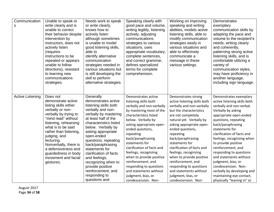| Communication<br>S      | Unable to speak or<br>write clearly and is<br>unable to correct<br>their behavior despite<br>intervention by<br>instructors, does not<br>actively listen<br>(requires<br>instructions to be<br>repeated or appears<br>unable to follow<br>directions), resistant<br>to learning new<br>communications<br>strategies.                          | Needs work to speak<br>or write clearly,<br>knows how to<br>actively listen<br>although sometimes<br>is unable to model<br>good listening skills,<br>able to<br>identify alternative<br>communication<br>strategies needed in<br>various situations but<br>is still developing the<br>skill to perform<br>alternative strategies.                                                                                                | Speaking clearly with<br>good pace and volume,<br>writing legibly, listening<br>actively, adjusting<br>communications<br>strategies to various<br>situations, uses<br>appropriate vocabulary,<br>complete sentences,<br>and correct grammar,<br>defines specialized<br>terms for complete<br>comprehension.                                                                                                                                                          | Working on improving<br>speaking and writing<br>abilities, models active<br>listening skills, able to<br>modify communication<br>strategies easily in<br>various situations and<br>able to effectively<br>communicate a<br>message in these<br>various settings.                                                                                                                                                                                                             | Demonstrates<br>exemplary<br>communication skills by<br>adapting the pace and<br>volume to the recipient's<br>needs, writing clearly<br>and coherently,<br>patterning strong active<br>listening skills, and is<br>comfortable utilizing a<br>variety of<br>communication styles,<br>may have proficiency in<br>another language,<br>including sign language.                                                                                                                                        |
|-------------------------|-----------------------------------------------------------------------------------------------------------------------------------------------------------------------------------------------------------------------------------------------------------------------------------------------------------------------------------------------|----------------------------------------------------------------------------------------------------------------------------------------------------------------------------------------------------------------------------------------------------------------------------------------------------------------------------------------------------------------------------------------------------------------------------------|----------------------------------------------------------------------------------------------------------------------------------------------------------------------------------------------------------------------------------------------------------------------------------------------------------------------------------------------------------------------------------------------------------------------------------------------------------------------|------------------------------------------------------------------------------------------------------------------------------------------------------------------------------------------------------------------------------------------------------------------------------------------------------------------------------------------------------------------------------------------------------------------------------------------------------------------------------|------------------------------------------------------------------------------------------------------------------------------------------------------------------------------------------------------------------------------------------------------------------------------------------------------------------------------------------------------------------------------------------------------------------------------------------------------------------------------------------------------|
| <b>Active Listening</b> | Does not<br>demonstrate active<br>listing skills either<br>verbally or non-<br>verbally by trying to<br>'mind read" without<br>listening, rehearsing<br>what is to be said<br>rather than listening,<br>judging, and<br>lecturing.<br>Nonverbally, there is<br>a defensiveness and<br>guardedness in body<br>movement and facial<br>gestures. | Generally<br>demonstrates active<br>listening skills both<br>verbally and non-<br>verbally by mastering<br>at least half of the<br>characteristics listed<br>below. Verbally by<br>asking appropriate<br>open-ended<br>questions, repeating<br>back/paraphrasing<br>statements for<br>clarification of facts<br>and feelings,<br>recognizing when to<br>provide positive<br>reinforcement, and<br>responding to<br>questions and | Demonstrates active<br>listening skills both<br>verbally and non-verbally<br>by mastering most of the<br>characteristics listed<br>below. Verbally by<br>asking appropriate open-<br>ended questions,<br>repeating<br>back/paraphrasing<br>statements for<br>clarification of facts and<br>feelings, recognizing<br>when to provide positive<br>reinforcement, and<br>responding to questions<br>and statements without<br>judgment, bias, or<br>condescension. Non- | Demonstrates strong<br>active listening skills both<br>verbally and non-verbally<br>but the characteristics<br>are not completely<br>natural yet. Verbally by<br>asking appropriate open-<br>ended questions,<br>repeating<br>back/paraphrasing<br>statements for<br>clarification of facts and<br>feelings, recognizing<br>when to provide positive<br>reinforcement, and<br>responding to questions<br>and statements without<br>judgment, bias, or<br>condescension. Non- | Demonstrates exemplary<br>active listening skills both<br>verbally and non-verbal.<br>Verbally by asking<br>appropriate open-ended<br>questions, repeating<br>back/paraphrasing<br>statements for<br>clarification of facts and<br>feelings, recognizing when<br>to provide positive<br>reinforcement, and<br>responding to questions<br>and statements without<br>judgment, bias, or<br>condescension. Non-<br>verbally by developing and<br>maintaining eye contact,<br>physically "leaning in" or |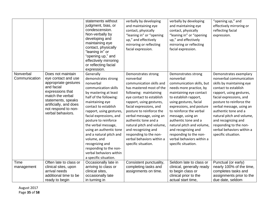|                            |                                                                                                                                                                                                                    | statements without<br>judgment, bias, or<br>condescension.<br>Non-verbally by<br>developing and<br>maintaining eye<br>contact, physically<br>"leaning in" or<br>"opening up," and<br>effectively mirroring<br>or reflecting facial<br>expression.                                                                                                                                                                                               | verbally by developing<br>and maintaining eye<br>contact, physically<br>"leaning in" or "opening<br>up," and effectively<br>mirroring or reflecting<br>facial expression.                                                                                                                                                                                                                                               | verbally by developing<br>and maintaining eye<br>contact, physically<br>"leaning in" or "opening<br>up," and effectively<br>mirroring or reflecting<br>facial expression.                                                                                                                                                                                                                                    | "opening up," and<br>effectively mirroring or<br>reflecting facial<br>expression.                                                                                                                                                                                                                                                                                               |
|----------------------------|--------------------------------------------------------------------------------------------------------------------------------------------------------------------------------------------------------------------|-------------------------------------------------------------------------------------------------------------------------------------------------------------------------------------------------------------------------------------------------------------------------------------------------------------------------------------------------------------------------------------------------------------------------------------------------|-------------------------------------------------------------------------------------------------------------------------------------------------------------------------------------------------------------------------------------------------------------------------------------------------------------------------------------------------------------------------------------------------------------------------|--------------------------------------------------------------------------------------------------------------------------------------------------------------------------------------------------------------------------------------------------------------------------------------------------------------------------------------------------------------------------------------------------------------|---------------------------------------------------------------------------------------------------------------------------------------------------------------------------------------------------------------------------------------------------------------------------------------------------------------------------------------------------------------------------------|
| Nonverbal<br>Communication | Does not maintain<br>eye contact and use<br>appropriate gestures<br>and facial<br>expressions that<br>match the verbal<br>statements, speaks<br>artificially, and does<br>not respond to non-<br>verbal behaviors. | Generally<br>demonstrates strong<br>nonverbal<br>communication skills<br>by mastering at least<br>half of the following:<br>maintaining eye<br>contact to establish<br>rapport, using gestures,<br>facial expressions, and<br>posture to reinforce<br>the verbal message,<br>using an authentic tone<br>and a natural pitch and<br>volume, and<br>recognizing and<br>responding to the non-<br>verbal behaviors within<br>a specific situation. | Demonstrates strong<br>nonverbal<br>communication skills and<br>has mastered most of the<br>following: maintaining<br>eye contact to establish<br>rapport, using gestures,<br>facial expressions, and<br>posture to reinforce the<br>verbal message, using an<br>authentic tone and a<br>natural pitch and volume,<br>and recognizing and<br>responding to the non-<br>verbal behaviors within a<br>specific situation. | Demonstrates strong<br>nonverbal<br>communication skills, but<br>needs more practice, by<br>maintaining eye contact<br>to establish rapport,<br>using gestures, facial<br>expressions, and posture<br>to reinforce the verbal<br>message, using an<br>authentic tone and a<br>natural pitch and volume,<br>and recognizing and<br>responding to the non-<br>verbal behaviors within a<br>specific situation. | Demonstrates exemplary<br>nonverbal communication<br>skills by maintaining eye<br>contact to establish<br>rapport, using gestures,<br>facial expressions, and<br>posture to reinforce the<br>verbal message, using an<br>authentic tone and a<br>natural pitch and volume,<br>and recognizing and<br>responding to the non-<br>verbal behaviors within a<br>specific situation. |
| Time<br>management         | Often late to class or<br>clinical sites, upon<br>arrival needs<br>additional time to be<br>ready to begin                                                                                                         | Occasionally late in<br>arriving to class or<br>clinical sites,<br>occasionally late<br>in turning in                                                                                                                                                                                                                                                                                                                                           | Consistent punctuality,<br>completing tasks and<br>assignments on time.                                                                                                                                                                                                                                                                                                                                                 | Seldom late to class or<br>clinical, generally ready<br>to begin class or<br>clinical prior to the<br>actual start time,                                                                                                                                                                                                                                                                                     | Punctual (or early)<br>nearly 100% of the time,<br>completes tasks and<br>assignments prior to the<br>due date, seldom                                                                                                                                                                                                                                                          |

August 2017 Page **35** of **58**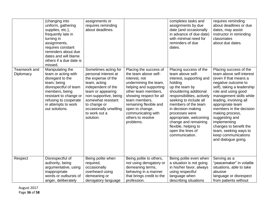|                           | (changing into<br>uniform, gathering<br>supplies, etc.),<br>frequently late in<br>turning in<br>assignments,<br>requires constant<br>reminders about due<br>dates and will blame<br>others if a due date is<br>missed. | assignments or<br>requires reminding<br>about deadlines.                                                                                                                                                                                             |                                                                                                                                                                                                                                                                                            | completes tasks and<br>assignments by due<br>date (and occasionally<br>in advance of due date)<br>with minimal need for<br>reminders of due<br>dates.                                                                                                                                                                                                                 | requires reminding<br>about deadlines or due<br>dates, may assist<br>instructor in reminding<br>classmates<br>about due dates.                                                                                                                                                                                                                                                                                    |
|---------------------------|------------------------------------------------------------------------------------------------------------------------------------------------------------------------------------------------------------------------|------------------------------------------------------------------------------------------------------------------------------------------------------------------------------------------------------------------------------------------------------|--------------------------------------------------------------------------------------------------------------------------------------------------------------------------------------------------------------------------------------------------------------------------------------------|-----------------------------------------------------------------------------------------------------------------------------------------------------------------------------------------------------------------------------------------------------------------------------------------------------------------------------------------------------------------------|-------------------------------------------------------------------------------------------------------------------------------------------------------------------------------------------------------------------------------------------------------------------------------------------------------------------------------------------------------------------------------------------------------------------|
| Teamwork and<br>Diplomacy | Manipulating the<br>team or acting with<br>disregard to the<br>team, being<br>disrespectful of team<br>members, being<br>resistant to change or<br>refusing to cooperate<br>in attempts to work<br>out solutions.      | Sometimes acting for<br>personal interest at<br>the expense of the<br>team, acting<br>independent of the<br>team or appearing<br>non-supportive, being<br>somewhat resistant<br>to change or<br>occasionally unwilling<br>to work out a<br>solution. | Placing the success of<br>the team above self-<br>interest, not<br>undermining the team,<br>helping and supporting<br>other team members,<br>showing respect for all<br>team members,<br>remaining flexible and<br>open to change,<br>communicating with<br>others to resolve<br>problems. | Placing success of the<br>team above self-<br>interest, supporting and<br>holding<br>up the team by<br>shouldering additional<br>responsibilities, actively<br>seeking to include all<br>members of the team<br>in decision making<br>processes were<br>appropriate, welcoming<br>change and remaining<br>flexible, helping to<br>open the lines of<br>communication. | Placing success of the<br>team above self-interest<br>(even if that means a<br>negative outcome to<br>self), taking a leadership<br>role and using good<br>management skills while<br>leading, involving all<br>appropriate team<br>members in the decision<br>making process,<br>suggesting and<br>implementing<br>changes to benefit the<br>team, seeking ways to<br>keep communications<br>and dialogue going. |
| Respect                   | Disrespectful of<br>authority, being                                                                                                                                                                                   | Being polite when<br>required,                                                                                                                                                                                                                       | Being polite to others,<br>not using derogatory or                                                                                                                                                                                                                                         | Being polite even when<br>a situation is not going                                                                                                                                                                                                                                                                                                                    | Serving as a<br>"peacemaker" in volatile                                                                                                                                                                                                                                                                                                                                                                          |
|                           | argumentative, using<br>inappropriate                                                                                                                                                                                  | occasionally<br>overheard using                                                                                                                                                                                                                      | demeaning terms,<br>behaving in a manner                                                                                                                                                                                                                                                   | in his/her favor, always<br>using respectful                                                                                                                                                                                                                                                                                                                          | situations, able to take<br>abusive                                                                                                                                                                                                                                                                                                                                                                               |
|                           | words or outbursts of                                                                                                                                                                                                  | demeaning or                                                                                                                                                                                                                                         | that brings credit to the                                                                                                                                                                                                                                                                  | language when                                                                                                                                                                                                                                                                                                                                                         | language or disrespect                                                                                                                                                                                                                                                                                                                                                                                            |
|                           | anger, deliberately                                                                                                                                                                                                    | derogatory language                                                                                                                                                                                                                                  | profession.                                                                                                                                                                                                                                                                                | describing situations                                                                                                                                                                                                                                                                                                                                                 | from patients without                                                                                                                                                                                                                                                                                                                                                                                             |

August 2017 Page **36** of **58**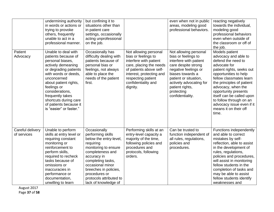|                                 | undermining authority<br>in words or actions or<br>trying to provoke<br>others, frequently<br>unable to act in a<br>professional manner.                                                                                                                                                                          | but confining it to<br>situations other than<br>in patient care<br>settings, occasionally<br>acting unprofessional<br>on the job.                                                                                                                                         |                                                                                                                                                                                                                   | even when not in public<br>areas, modeling good<br>professional behaviors.                                                                                                                                                                         | reacting negatively<br>towards the individual,<br>modeling good<br>professional behaviors<br>even when outside of<br>the classroom or off of<br>the job.                                                                                                                                                                                                        |
|---------------------------------|-------------------------------------------------------------------------------------------------------------------------------------------------------------------------------------------------------------------------------------------------------------------------------------------------------------------|---------------------------------------------------------------------------------------------------------------------------------------------------------------------------------------------------------------------------------------------------------------------------|-------------------------------------------------------------------------------------------------------------------------------------------------------------------------------------------------------------------|----------------------------------------------------------------------------------------------------------------------------------------------------------------------------------------------------------------------------------------------------|-----------------------------------------------------------------------------------------------------------------------------------------------------------------------------------------------------------------------------------------------------------------------------------------------------------------------------------------------------------------|
| Patient<br>Advocacy             | Unable to deal with<br>patients because of<br>personal biases,<br>actively demeaning<br>or degrading patients<br>with words or deeds,<br>unconcerned<br>about patient rights,<br>feelings or<br>considerations,<br>frequently takes<br>shortcuts during care<br>of patients because it<br>is "easier" or faster." | Occasionally has<br>difficulty dealing with<br>patients because of<br>personal bias or<br>feelings, not always<br>able to place the<br>needs of the patient<br>first.                                                                                                     | Not allowing personal<br>bias or feelings to<br>interfere with patient<br>care, placing the needs<br>of patients above self-<br>interest, protecting and<br>respecting patient<br>confidentiality and<br>dignity. | Not allowing personal<br>bias or feelings to<br>interfere with patient<br>care despite strong<br>negative feelings or<br>biases towards a<br>patient or situation,<br>actively advocating for<br>patient rights,<br>protecting<br>confidentiality. | Models patient<br>advocacy and able to<br>defend the need to<br>advocate for<br>patient rights, seeks out<br>opportunities to help<br>fellow classmates learn<br>the principles of patient<br>advocacy, when the<br>opportunity presents<br>itself can be called upon<br>to follow through on an<br>advocacy issue even if it<br>means it on their off<br>time. |
| Careful delivery<br>of services | Unable to perform<br>skills at entry level or<br>requiring constant<br>monitoring or<br>reinforcement to<br>perform skills,<br>required to recheck<br>tasks because of<br>omissions or<br>inaccuracies in<br>performance or<br>documentation,<br>unwilling to learn                                               | Occasionally<br>performing skills<br>below the entry-level,<br>requiring<br>monitoring to ensure<br>completeness and<br>accuracy in<br>completing tasks,<br>occasional minor<br>breeches in policies,<br>procedures or<br>protocols attributed to<br>lack of knowledge of | Performing skills at an<br>entry-level capacity a<br>majority of the time,<br>following policies and<br>procedures and<br>protocols, following<br>orders.                                                         | Can be trusted to<br>function independent of<br>all rules, regulations,<br>policies and<br>procedures.                                                                                                                                             | Functions independently<br>and able to correct<br>mistakes by self-<br>reflection, able to assist<br>in the development of<br>rules, regulations,<br>policies and procedures,<br>will assist in monitoring<br>fellow students in the<br>completion of tasks and<br>may be able to assist<br>fellow students identify<br>weaknesses and                          |

August 2017 Page **37** of **58**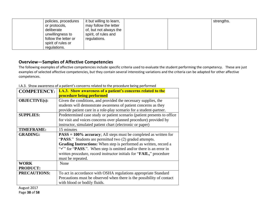| policies, procedures<br>or protocols,<br>deliberate<br>unwillingness to<br>follow the letter or<br>spirit of rules or | it but willing to learn,<br>may follow the letter<br>of, but not always the<br>spirit, of rules and<br>regulations. |  | strengths. |
|-----------------------------------------------------------------------------------------------------------------------|---------------------------------------------------------------------------------------------------------------------|--|------------|
| regulations.                                                                                                          |                                                                                                                     |  |            |

#### **Overview—Samples of Affective Competencies**

The following examples of affective competencies include specific criteria used to evaluate the student performing the competency. These are just examples of selected affective competencies, but they contain several interesting variations and the criteria can be adapted for other affective competences.

<span id="page-37-0"></span>

| <b>COMPETENCY:</b>   | <b>I.A.3.</b> Show awareness of a patient's concerns related to the      |
|----------------------|--------------------------------------------------------------------------|
|                      | procedure being performed                                                |
| <b>OBJECTIVE(s):</b> | Given the conditions, and provided the necessary supplies, the           |
|                      | students will demonstrate awareness of patient concerns as they          |
|                      | provide patient care in a role-play scenario for a student-partner.      |
| <b>SUPPLIES:</b>     | Predetermined case study or patient scenario (patient presents to office |
|                      | for visit and voices concerns over planned procedure) provided by        |
|                      | instructor, simulated patient chart (electronic or paper)                |
| <b>TIMEFRAME:</b>    | 15 minutes                                                               |
| <b>GRADING:</b>      | $PASS = 100\%$ accuracy; All steps must be completed as written for      |
|                      | "PASS." Students are permitted two (2) graded attempts.                  |
|                      | Grading Instructions: When step is performed as written, record a        |
|                      | "' or "PASS.". When step is omitted and/or there is an error in          |
|                      | written procedure, record instructor initials for "FAIL," procedure      |
|                      | must be repeated.                                                        |
| <b>WORK</b>          | None                                                                     |
| <b>PRODUCT:</b>      |                                                                          |
| <b>PRECAUTIONS:</b>  | To act in accordance with OSHA regulations appropriate Standard          |
|                      | Precautions must be observed when there is the possibility of contact    |
|                      | with blood or bodily fluids.                                             |

I.A.3. Show awareness of a patient's concerns related to the procedure being performed

<span id="page-37-1"></span>August 2017 Page **38** of **58**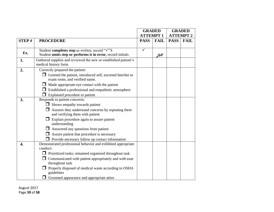|                  |                                                                    |                 | <b>GRADED</b> |                  | <b>GRADED</b> |
|------------------|--------------------------------------------------------------------|-----------------|---------------|------------------|---------------|
|                  |                                                                    | <b>ATTEMPT1</b> |               | <b>ATTEMPT 2</b> |               |
| STEP#            | <b>PROCEDURE</b>                                                   | <b>PASS</b>     | <b>FAIL</b>   | <b>PASS</b>      | <b>FAIL</b>   |
|                  | Student completes step as written, record "V"S                     | $\checkmark$    |               |                  |               |
| Ex.              | Student omits step or performs it in error, record initials        |                 | ZH            |                  |               |
| 1.               | Gathered supplies and reviewed the new or established patient's    |                 |               |                  |               |
|                  | medical history form.                                              |                 |               |                  |               |
| 2.               | Correctly prepared the patient:                                    |                 |               |                  |               |
|                  | $\Box$ Greeted the patient, introduced self, escorted him/her to   |                 |               |                  |               |
|                  | exam room, and verified name.                                      |                 |               |                  |               |
|                  | $\Box$ Made appropriate eye contact with the patient               |                 |               |                  |               |
|                  | Established a professional and empathetic atmosphere               |                 |               |                  |               |
|                  | Explained procedure to patient                                     |                 |               |                  |               |
| 3.               | Responds to patient concerns:                                      |                 |               |                  |               |
|                  | $\Box$ Shows empathy towards patient                               |                 |               |                  |               |
|                  | Assures they understand concerns by repeating them                 |                 |               |                  |               |
|                  | and verifying them with patient                                    |                 |               |                  |               |
|                  | Explain procedure again to assure patient                          |                 |               |                  |               |
|                  | understanding                                                      |                 |               |                  |               |
|                  | $\Box$ Answered any questions from patient                         |                 |               |                  |               |
|                  | Assure patient that procedure is necessary                         |                 |               |                  |               |
|                  | Provide necessary follow up contact information                    |                 |               |                  |               |
| $\overline{4}$ . | Demonstrated professional behavior and exhibited appropriate       |                 |               |                  |               |
|                  | conduct:                                                           |                 |               |                  |               |
|                  | $\Box$ Prioritized tasks; remained organized throughout task       |                 |               |                  |               |
|                  | Communicated with patient appropriately and with ease              |                 |               |                  |               |
|                  | throughout task                                                    |                 |               |                  |               |
|                  | Properly disposed of medical waste according to OSHA<br>guidelines |                 |               |                  |               |
|                  | Groomed appearance and appropriate attire                          |                 |               |                  |               |

August 2017 Page **39** of **58**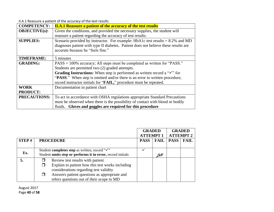II.A.1 Reassure a patient of the accuracy of the test results

| <b>COMPETENCY:</b>   | <b>II.A.1 Reassure a patient of the accuracy of the test results</b>                         |  |  |  |  |
|----------------------|----------------------------------------------------------------------------------------------|--|--|--|--|
| <b>OBJECTIVE(s):</b> | Given the conditions, and provided the necessary supplies, the student will                  |  |  |  |  |
|                      | reassure a patient regarding the accuracy of test results.                                   |  |  |  |  |
| <b>SUPPLIES:</b>     | Scenario provided by instructor. For example: HbA1c test results $= 8.2\%$ and MD            |  |  |  |  |
|                      | diagnoses patient with type II diabetes. Patient does not believe these results are          |  |  |  |  |
|                      | accurate because he "feels fine."                                                            |  |  |  |  |
|                      |                                                                                              |  |  |  |  |
| <b>TIMEFRAME:</b>    | 5 minutes                                                                                    |  |  |  |  |
| <b>GRADING:</b>      | PASS = 100% accuracy; All steps must be completed as written for "PASS."                     |  |  |  |  |
|                      | Students are permitted two (2) graded attempts.                                              |  |  |  |  |
|                      | <b>Grading Instructions:</b> When step is performed as written record a " $\checkmark$ " for |  |  |  |  |
|                      | "PASS." When step is omitted and/or there is an error in written procedure,                  |  |  |  |  |
|                      | record instructor initials for "FAIL," procedure must be repeated.                           |  |  |  |  |
| <b>WORK</b>          | Documentation in patient chart                                                               |  |  |  |  |
| <b>PRODUCT:</b>      |                                                                                              |  |  |  |  |
| <b>PRECAUTIONS:</b>  | To act in accordance with OSHA regulations appropriate Standard Precautions                  |  |  |  |  |
|                      | must be observed when there is the possibility of contact with blood or bodily               |  |  |  |  |
|                      | fluids. Gloves and goggles are required for this procedure                                   |  |  |  |  |

<span id="page-39-0"></span>

|              |                                                                                                                                | <b>GRADED</b><br><b>ATTEMPT1</b> |               |             | <b>GRADED</b><br><b>ATTEMPT 2</b> |
|--------------|--------------------------------------------------------------------------------------------------------------------------------|----------------------------------|---------------|-------------|-----------------------------------|
| <b>STEP#</b> | <b>PROCEDURE</b>                                                                                                               | <b>PASS</b>                      | <b>FAIL</b>   | <b>PASS</b> | <b>FAIL</b>                       |
| Ex.          | Student completes step as written, record "√"<br>Student omits step or performs it in error, record initials                   |                                  | $\mathcal{H}$ |             |                                   |
| 5.           | Review test results with patient<br>Explain to patient how this test works including<br>considerations regarding test validity |                                  |               |             |                                   |
|              | Answers patient questions as appropriate and<br>refers questions out of their scope to MD                                      |                                  |               |             |                                   |

August 2017 Page **40** of **58**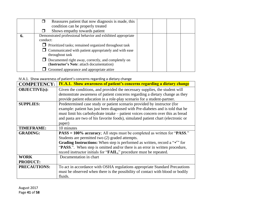|    | Reassures patient that now diagnosis is made, this<br>П      |
|----|--------------------------------------------------------------|
|    | condition can be properly treated                            |
|    | Shows empathy towards patient                                |
| 6. | Demonstrated professional behavior and exhibited appropriate |
|    | conduct:                                                     |
|    | $\Box$ Prioritized tasks; remained organized throughout task |
|    | $\Box$ Communicated with patient appropriately and with ease |
|    | throughout task                                              |
|    | $\Box$ Documented right away, correctly, and completely on   |
|    | (Instructor's Note: attach documentation)                    |
|    | Groomed appearance and appropriate attire                    |

#### IV.A.1. Show awareness of patient's concerns regarding a dietary change

<span id="page-40-0"></span>

| <b>COMPETENCY:</b>   | <b>IV.A.1.</b> Show awareness of patient's concerns regarding a dietary change                |
|----------------------|-----------------------------------------------------------------------------------------------|
| <b>OBJECTIVE(s):</b> | Given the conditions, and provided the necessary supplies, the student will                   |
|                      | demonstrate awareness of patient concerns regarding a dietary change as they                  |
|                      | provide patient education in a role-play scenario for a student-partner.                      |
| <b>SUPPLIES:</b>     | Predetermined case study or patient scenario provided by instructor (for                      |
|                      | example: patient has just been diagnosed with Pre-diabetes and is told that he                |
|                      | must limit his carbohydrate intake – patient voices concern over this as bread                |
|                      | and pasta are two of his favorite foods), simulated patient chart (electronic or              |
|                      | paper)                                                                                        |
| <b>TIMEFRAME:</b>    | 10 minutes                                                                                    |
| <b>GRADING:</b>      | PASS = 100% accuracy; All steps must be completed as written for "PASS."                      |
|                      | Students are permitted two (2) graded attempts.                                               |
|                      | <b>Grading Instructions:</b> When step is performed as written, record a " $\checkmark$ " for |
|                      | "PASS.". When step is omitted and/or there is an error in written procedure,                  |
|                      | record instructor initials for "FAIL," procedure must be repeated.                            |
| <b>WORK</b>          | Documentation in chart                                                                        |
| <b>PRODUCT:</b>      |                                                                                               |
| <b>PRECAUTIONS:</b>  | To act in accordance with OSHA regulations appropriate Standard Precautions                   |
|                      | must be observed when there is the possibility of contact with blood or bodily                |
|                      | fluids.                                                                                       |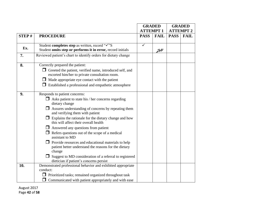|       |                                                                                                       |                 | <b>GRADED</b> |                  | <b>GRADED</b> |
|-------|-------------------------------------------------------------------------------------------------------|-----------------|---------------|------------------|---------------|
|       |                                                                                                       | <b>ATTEMPT1</b> |               | <b>ATTEMPT 2</b> |               |
| STEP# | <b>PROCEDURE</b>                                                                                      | <b>PASS</b>     | <b>FAIL</b>   | <b>PASS</b>      | <b>FAIL</b>   |
|       |                                                                                                       |                 |               |                  |               |
| Ex.   | Student completes step as written, record "V"S                                                        | ✓               |               |                  |               |
|       | Student omits step or performs it in error, record initials                                           |                 | ZH            |                  |               |
| 7.    | Reviewed patient's chart to identify orders for dietary change                                        |                 |               |                  |               |
| 8.    | Correctly prepared the patient:                                                                       |                 |               |                  |               |
|       | $\Box$ Greeted the patient, verified name, introduced self, and                                       |                 |               |                  |               |
|       | escorted him/her to private consultation room.                                                        |                 |               |                  |               |
|       | $\Box$ Made appropriate eye contact with the patient                                                  |                 |               |                  |               |
|       | $\Box$ Established a professional and empathetic atmosphere                                           |                 |               |                  |               |
|       |                                                                                                       |                 |               |                  |               |
| 9.    | Responds to patient concerns:                                                                         |                 |               |                  |               |
|       | Asks patient to state his / her concerns regarding<br>$\mathsf{L}$                                    |                 |               |                  |               |
|       | dietary change                                                                                        |                 |               |                  |               |
|       | Assures understanding of concerns by repeating them                                                   |                 |               |                  |               |
|       | and verifying them with patient                                                                       |                 |               |                  |               |
|       | $\Box$ Explains the rationale for the dietary change and how<br>this will affect their overall health |                 |               |                  |               |
|       | Answered any questions from patient                                                                   |                 |               |                  |               |
|       | Refers questions out of the scope of a medical                                                        |                 |               |                  |               |
|       | assistant to MD                                                                                       |                 |               |                  |               |
|       | $\Box$ Provide resources and educational materials to help                                            |                 |               |                  |               |
|       | patient better understand the reasons for the dietary                                                 |                 |               |                  |               |
|       | change                                                                                                |                 |               |                  |               |
|       | Suggest to MD consideration of a referral to registered                                               |                 |               |                  |               |
|       | dietician if patient's concerns persist                                                               |                 |               |                  |               |
| 10.   | Demonstrated professional behavior and exhibited appropriate                                          |                 |               |                  |               |
|       | conduct:                                                                                              |                 |               |                  |               |
|       | $\Box$ Prioritized tasks; remained organized throughout task                                          |                 |               |                  |               |
|       | Communicated with patient appropriately and with ease                                                 |                 |               |                  |               |

August 2017 Page **42** of **58**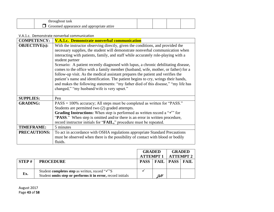| * task<br>∩lit      |  |  |
|---------------------|--|--|
| attıre<br>nce.<br>ື |  |  |

#### V.A.1.c. Demonstrate nonverbal communication

| <b>COMPETENCY:</b>   | <b>V.A.1.c. Demonstrate nonverbal communication</b>                                                                                                                                                                                                                                                                                                                                                                                                                                                                                                                                                                                                                                                                                                            |
|----------------------|----------------------------------------------------------------------------------------------------------------------------------------------------------------------------------------------------------------------------------------------------------------------------------------------------------------------------------------------------------------------------------------------------------------------------------------------------------------------------------------------------------------------------------------------------------------------------------------------------------------------------------------------------------------------------------------------------------------------------------------------------------------|
| <b>OBJECTIVE(s):</b> | With the instructor observing directly, given the conditions, and provided the<br>necessary supplies, the student will demonstrate nonverbal communication when<br>interacting with patients, family, and staff while accurately role-playing with a<br>student partner<br>Scenario: A patient recently diagnosed with lupus, a chronic debilitating disease,<br>comes to the office with a family member (husband, wife, mother, or father) for a<br>follow-up visit. As the medical assistant prepares the patient and verifies the<br>patient's name and identification. The patient begins to cry, wrings their hands,<br>and makes the following statements: "my father died of this disease," "my life has<br>changed," "my husband/wife is very upset." |
| <b>SUPPLIES:</b>     | Pen                                                                                                                                                                                                                                                                                                                                                                                                                                                                                                                                                                                                                                                                                                                                                            |
| <b>GRADING:</b>      | PASS = 100% accuracy; All steps must be completed as written for "PASS."<br>Students are permitted two (2) graded attempts.<br><b>Grading Instructions:</b> When step is performed as written record a " $\checkmark$ " for<br>"PASS." When step is omitted and/or there is an error in written procedure,<br>record instructor initials for "FAIL," procedure must be repeated.                                                                                                                                                                                                                                                                                                                                                                               |
| <b>TIMEFRAME:</b>    | 5 minutes                                                                                                                                                                                                                                                                                                                                                                                                                                                                                                                                                                                                                                                                                                                                                      |
| <b>PRECAUTIONS:</b>  | To act in accordance with OSHA regulations appropriate Standard Precautions<br>must be observed when there is the possibility of contact with blood or bodily<br>fluids.                                                                                                                                                                                                                                                                                                                                                                                                                                                                                                                                                                                       |

<span id="page-42-0"></span>

|       |                                                                                                                            | <b>GRADED</b>                    |    | <b>ATTEMPT 1   ATTEMPT 2</b> | <b>GRADED</b> |
|-------|----------------------------------------------------------------------------------------------------------------------------|----------------------------------|----|------------------------------|---------------|
| STEP# | <b>PROCEDURE</b>                                                                                                           | <b>PASS   FAIL   PASS   FAIL</b> |    |                              |               |
| Ex.   | Student completes step as written, record " $\checkmark$ "S<br>Student omits step or performs it in error, record initials |                                  | ZH |                              |               |

August 2017 Page **43** of **58**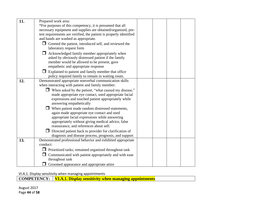| 11. | Prepared work area:                                                |  |  |
|-----|--------------------------------------------------------------------|--|--|
|     | *For purposes of this competency, it is presumed that all          |  |  |
|     | necessary equipment and supplies are obtained/organized, pre-      |  |  |
|     | test requirements are verified, the patient is properly identified |  |  |
|     | and hands are washed as appropriate.                               |  |  |
|     | $\Box$ Greeted the patient, introduced self, and reviewed the      |  |  |
|     | laboratory request form                                            |  |  |
|     | $\Box$ Acknowledged family member appropriately when               |  |  |
|     | asked by obviously distressed patient if the family                |  |  |
|     | member would be allowed to be present, gave                        |  |  |
|     | empathetic and appropriate response                                |  |  |
|     | $\Box$ Explained to patient and family member that office          |  |  |
|     | policy required family to remain in waiting room.                  |  |  |
| 12. | Demonstrated appropriate nonverbal communication skills            |  |  |
|     | when interacting with patient and family member:                   |  |  |
|     | $\Box$ When asked by the patient, "what caused my disease,"        |  |  |
|     | made appropriate eye contact, used appropriate facial              |  |  |
|     | expressions and touched patient appropriately while                |  |  |
|     | answering empathetically                                           |  |  |
|     | When patient made random distressed statements,                    |  |  |
|     | again made appropriate eye contact and used                        |  |  |
|     | appropriate facial expressions while answering                     |  |  |
|     | appropriately without giving medical advice, false                 |  |  |
|     | reassurance, and references about self.                            |  |  |
|     | Directed patient back to provider for clarification of             |  |  |
|     | diagnosis and disease process, prognosis, and support              |  |  |
| 13. | Demonstrated professional behavior and exhibited appropriate       |  |  |
|     | conduct:                                                           |  |  |
|     | $\Box$ Prioritized tasks; remained organized throughout task       |  |  |
|     | $\Box$ Communicated with patient appropriately and with ease       |  |  |
|     | throughout task                                                    |  |  |
|     | $\Box$ Groomed appearance and appropriate attire                   |  |  |

VI.A.1. Display sensitivity when managing appointments

**COMPETENCY:** | **VI.A.1. Display sensitivity when managing appointments** 

<span id="page-43-0"></span>August 2017 Page **44** of **58**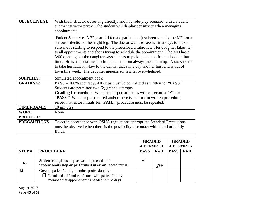| <b>OBJECTIVE(s):</b> | With the instructor observing directly, and in a role-play scenario with a student<br>and/or instructor partner, the student will display sensitivity when managing<br>appointments.                                                                                                                                                                                                                                                                                                                                                                                                                                                                                          |
|----------------------|-------------------------------------------------------------------------------------------------------------------------------------------------------------------------------------------------------------------------------------------------------------------------------------------------------------------------------------------------------------------------------------------------------------------------------------------------------------------------------------------------------------------------------------------------------------------------------------------------------------------------------------------------------------------------------|
|                      | Patient Scenario: A 72 year old female patient has just been seen by the MD for a<br>serious infection of her right leg. The doctor wants to see her in 2 days to make<br>sure she is starting to respond to the prescribed antibiotics. Her daughter takes her<br>to all appointments and she is trying to schedule the appointment. The MD has a<br>3:00 opening but the daughter says she has to pick up her son from school at that<br>time. He is a special-needs child and his mom always picks him up. Also, she has<br>to take her father-in-law to the dentist that same day and her husband is out of<br>town this week. The daughter appears somewhat overwhelmed. |
| <b>SUPPLIES:</b>     | Simulated appointment book                                                                                                                                                                                                                                                                                                                                                                                                                                                                                                                                                                                                                                                    |
| <b>GRADING:</b>      | PASS = 100% accuracy; All steps must be completed as written for "PASS."                                                                                                                                                                                                                                                                                                                                                                                                                                                                                                                                                                                                      |
|                      | Students are permitted two (2) graded attempts.                                                                                                                                                                                                                                                                                                                                                                                                                                                                                                                                                                                                                               |
|                      | Grading Instructions: When step is performed as written record a " $\checkmark$ " for                                                                                                                                                                                                                                                                                                                                                                                                                                                                                                                                                                                         |
|                      | "PASS." When step is omitted and/or there is an error in written procedure,                                                                                                                                                                                                                                                                                                                                                                                                                                                                                                                                                                                                   |
|                      | record instructor initials for " <b>FAIL</b> ," procedure must be repeated.                                                                                                                                                                                                                                                                                                                                                                                                                                                                                                                                                                                                   |
| <b>TIMEFRAME:</b>    | 10 minutes                                                                                                                                                                                                                                                                                                                                                                                                                                                                                                                                                                                                                                                                    |
| <b>WORK</b>          | None                                                                                                                                                                                                                                                                                                                                                                                                                                                                                                                                                                                                                                                                          |
| <b>PRODUCT:</b>      |                                                                                                                                                                                                                                                                                                                                                                                                                                                                                                                                                                                                                                                                               |
| <b>PRECAUTIONS</b>   | To act in accordance with OSHA regulations appropriate Standard Precautions<br>must be observed when there is the possibility of contact with blood or bodily<br>fluids.                                                                                                                                                                                                                                                                                                                                                                                                                                                                                                      |

|       |                                                                                                                           | <b>GRADED</b><br><b>ATTEMPT1</b> |             |             | <b>GRADED</b><br><b>ATTEMPT 2</b> |
|-------|---------------------------------------------------------------------------------------------------------------------------|----------------------------------|-------------|-------------|-----------------------------------|
| STEP# | <b>PROCEDURE</b>                                                                                                          | <b>PASS</b>                      | <b>FAIL</b> | <b>PASS</b> | <b>FAIL</b>                       |
| Ex.   | Student completes step as written, record " $\checkmark$ "<br>Student omits step or performs it in error, record initials |                                  | ZH          |             |                                   |
| 14.   | Greeted patient/family member professionally:<br>$\Box$ Identified self and confirmed with patient/family                 |                                  |             |             |                                   |
|       | member that appointment is needed in two days                                                                             |                                  |             |             |                                   |

August 2017 Page **45** of **58**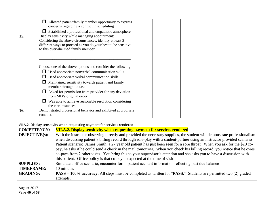| 15. | Allowed patient/family member opportunity to express<br>concerns regarding a conflict in scheduling<br>Established a professional and empathetic atmosphere<br>Display sensitivity while managing appointment:<br>Considering the above circumstances, identify at least 3<br>different ways to proceed as you do your best to be sensitive<br>to this overwhelmed family member: |  |  |
|-----|-----------------------------------------------------------------------------------------------------------------------------------------------------------------------------------------------------------------------------------------------------------------------------------------------------------------------------------------------------------------------------------|--|--|
|     | Choose one of the above options and consider the following:<br>Used appropriate nonverbal communication skills<br>Used appropriate verbal communication skills<br>Maintained sensitivity towards patient and family<br>member throughout task                                                                                                                                     |  |  |
|     | Asked for permission from provider for any deviation<br>from MD's original order<br>Was able to achieve reasonable resolution considering<br>the circumstances.                                                                                                                                                                                                                   |  |  |
| 16. | Demonstrated professional behavior and exhibited appropriate<br>conduct.                                                                                                                                                                                                                                                                                                          |  |  |

#### VII.A.2. Display sensitivity when requesting payment for services rendered

<span id="page-45-0"></span>

| COMPETENCY:          | VII.A.2. Display sensitivity when requesting payment for services rendered                                               |
|----------------------|--------------------------------------------------------------------------------------------------------------------------|
| <b>OBJECTIVE(s):</b> | With the instructor observing directly and provided the necessary supplies, the student will demonstrate professionalism |
|                      | when discussing patient's billing record through role-play with a student-partner using an instructor provided scenario  |
|                      | Patient scenario: James Smith, a 27 year old patient has just been seen for a sore throat. When you ask for the \$20 co- |
|                      | pay, he asks if he could send a check in the mail tomorrow. When you check his billing record, you notice that he owes   |
|                      | co-pays from 2 other visits. You bring this to your supervisor's attention and she asks you to have a discussion with    |
|                      | this patient. Office policy is that co-pay is expected at the time of visit.                                             |
| <b>SUPPLIES:</b>     | Simulated office scenario, encounter form, patient account information reflecting past due balance                       |
| <b>TIMEFRAME:</b>    | 10 minutes                                                                                                               |
| <b>GRADING:</b>      | $PASS = 100\%$ accuracy; All steps must be completed as written for "PASS." Students are permitted two (2) graded        |
|                      | attempts.                                                                                                                |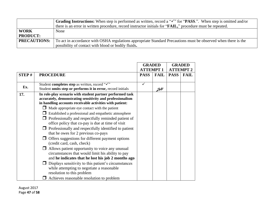|                     | <b>Grading Instructions:</b> When step is performed as written, record a " $\checkmark$ " for " <b>PASS</b> .". When step is omitted and/or |
|---------------------|---------------------------------------------------------------------------------------------------------------------------------------------|
|                     | there is an error in written procedure, record instructor initials for " <b>FAIL</b> ," procedure must be repeated.                         |
| <b>WORK</b>         | None                                                                                                                                        |
| <b>PRODUCT:</b>     |                                                                                                                                             |
| <b>PRECAUTIONS:</b> | To act in accordance with OSHA regulations appropriate Standard Precautions must be observed when there is the                              |
|                     | possibility of contact with blood or bodily fluids.                                                                                         |

|              |                                                             | <b>GRADED</b>   |               |             | <b>GRADED</b>    |
|--------------|-------------------------------------------------------------|-----------------|---------------|-------------|------------------|
|              |                                                             | <b>ATTEMPT1</b> |               |             | <b>ATTEMPT 2</b> |
| <b>STEP#</b> | <b>PROCEDURE</b>                                            | <b>PASS</b>     | <b>FAIL</b>   | <b>PASS</b> | <b>FAIL</b>      |
|              |                                                             |                 |               |             |                  |
| Ex.          | Student completes step as written, record " $\checkmark$ "  |                 |               |             |                  |
|              | Student omits step or performs it in error, record initials |                 | $\mathcal{H}$ |             |                  |
| 17.          | In role-play scenario with student partner performed task   |                 |               |             |                  |
|              | accurately, demonstrating sensitivity and professionalism   |                 |               |             |                  |
|              | in handling accounts receivable activities with patient:    |                 |               |             |                  |
|              | Made appropriate eye contact with the patient               |                 |               |             |                  |
|              | Established a professional and empathetic atmosphere        |                 |               |             |                  |
|              | Professionally and respectfully reminded patient of         |                 |               |             |                  |
|              | office policy that co-pay is due at time of visit           |                 |               |             |                  |
|              | Professionally and respectfully identified to patient       |                 |               |             |                  |
|              | that he owes for 2 previous co-pays                         |                 |               |             |                  |
|              | $\Box$ Offers suggestions for different payment options     |                 |               |             |                  |
|              | (credit card, cash, check)                                  |                 |               |             |                  |
|              | $\Box$ Allows patient opportunity to voice any unusual      |                 |               |             |                  |
|              | circumstances that would limit his ability to pay           |                 |               |             |                  |
|              | and he indicates that he lost his job 2 months ago          |                 |               |             |                  |
|              | $\Box$ Displays sensitivity to this patient's circumstances |                 |               |             |                  |
|              | while attempting to negotiate a reasonable                  |                 |               |             |                  |
|              | resolution to this problem                                  |                 |               |             |                  |
|              | Achieves reasonable resolution to problem                   |                 |               |             |                  |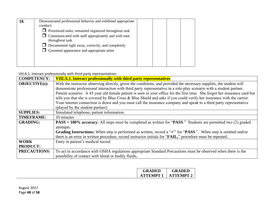| 18. | Demonstrated professional behavior and exhibited appropriate                  |  |  |
|-----|-------------------------------------------------------------------------------|--|--|
|     | conduct:                                                                      |  |  |
|     | $\Box$ Prioritized tasks; remained organized throughout task                  |  |  |
|     | $\Box$ Communicated with staff appropriately and with ease<br>throughout task |  |  |
|     | $\Box$ Documented right away, correctly, and completely                       |  |  |
|     | $\Box$ Groomed appearance and appropriate attire                              |  |  |
|     |                                                                               |  |  |
|     |                                                                               |  |  |

VIII.A.1. Interact professionally with third party representatives

<span id="page-47-0"></span>

| <b>COMPETENCY:</b>   | <b>VIII.A.1. Interact professionally with third party representatives</b>                                                   |  |  |
|----------------------|-----------------------------------------------------------------------------------------------------------------------------|--|--|
| <b>OBJECTIVE(s):</b> | With the instructor observing directly, given the conditions, and provided the necessary supplies, the student will         |  |  |
|                      | demonstrate professional interaction with third party representative in a role-play scenario with a student partner.        |  |  |
|                      | Patient scenario: A 45 year old female patient is seen in your office for the first time. She forgot her insurance card but |  |  |
|                      | tells you that she is covered by Blue Cross & Blue Shield and asks if you could verify her insurance with the carrier.      |  |  |
|                      | Your internet connection is down and you must call the insurance company and speak to a third party representative          |  |  |
|                      | (played by the student-partner).                                                                                            |  |  |
| <b>SUPPLIES:</b>     | Simulated telephone, patient information.                                                                                   |  |  |
| <b>TIMEFRAME:</b>    | 10 minutes                                                                                                                  |  |  |
| <b>GRADING:</b>      | $PASS = 100\%$ accuracy; All steps must be completed as written for "PASS." Students are permitted two (2) graded           |  |  |
|                      | attempts.                                                                                                                   |  |  |
|                      | Grading Instructions: When step is performed as written, record a " $\checkmark$ " for "PASS.". When step is omitted and/or |  |  |
|                      | there is an error in written procedure, record instructor initials for "FAIL," procedure must be repeated.                  |  |  |
| <b>WORK</b>          | Entry in patient's medical record                                                                                           |  |  |
| <b>PRODUCT:</b>      |                                                                                                                             |  |  |
| PRECAUTIONS:         | To act in accordance with OSHA regulations appropriate Standard Precautions must be observed when there is the              |  |  |
|                      | possibility of contact with blood or bodily fluids.                                                                         |  |  |

| <b>GRADED</b> | <b>GRADED</b>    |
|---------------|------------------|
| ATTEMPT 1     | <b>ATTEMPT 2</b> |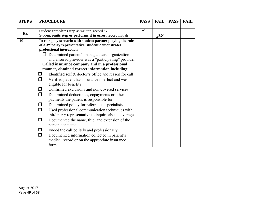| STEP# | <b>PROCEDURE</b>                                                                                                               | <b>PASS</b>  | <b>FAIL</b> | <b>PASS</b> | <b>FAIL</b> |
|-------|--------------------------------------------------------------------------------------------------------------------------------|--------------|-------------|-------------|-------------|
|       |                                                                                                                                | $\checkmark$ |             |             |             |
| Ex.   | Student completes step as written, record "√"<br>Student omits step or performs it in error, record initials                   |              |             |             |             |
|       |                                                                                                                                |              | JH          |             |             |
| 19.   | In role-play scenario with student partner playing the role<br>of a 3 <sup>rd</sup> party representative, student demonstrates |              |             |             |             |
|       | professional interaction.                                                                                                      |              |             |             |             |
|       | $\Box$ Determined patient's managed care organization                                                                          |              |             |             |             |
|       | and ensured provider was a "participating" provider                                                                            |              |             |             |             |
|       | Called insurance company and in a professional                                                                                 |              |             |             |             |
|       | manner, obtained correct information including:                                                                                |              |             |             |             |
|       | Identified self & doctor's office and reason for call<br>П                                                                     |              |             |             |             |
|       | Verified patient has insurance in effect and was<br>$\Box$                                                                     |              |             |             |             |
|       | eligible for benefits                                                                                                          |              |             |             |             |
|       | Confirmed exclusions and non-covered services                                                                                  |              |             |             |             |
|       | $\Box$<br>Determined deductibles, copayments or other                                                                          |              |             |             |             |
|       | payments the patient is responsible for                                                                                        |              |             |             |             |
|       | Determined policy for referrals to specialists<br>$\Box$                                                                       |              |             |             |             |
|       | Used professional communication techniques with<br>$\Box$                                                                      |              |             |             |             |
|       | third party representative to inquire about coverage                                                                           |              |             |             |             |
|       | Documented the name, title, and extension of the<br>$\Box$                                                                     |              |             |             |             |
|       | person contacted                                                                                                               |              |             |             |             |
|       | Ended the call politely and professionally<br>$\Box$                                                                           |              |             |             |             |
|       | $\Box$<br>Documented information collected in patient's                                                                        |              |             |             |             |
|       | medical record or on the appropriate insurance                                                                                 |              |             |             |             |
|       | form                                                                                                                           |              |             |             |             |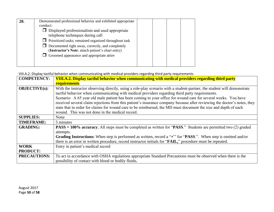| 20. | Demonstrated professional behavior and exhibited appropriate                                                 |  |  |
|-----|--------------------------------------------------------------------------------------------------------------|--|--|
|     | conduct:                                                                                                     |  |  |
|     | $\Box$ Displayed professionalism and used appropriate                                                        |  |  |
|     | telephone techniques during call                                                                             |  |  |
|     | $\Box$ Prioritized tasks; remained organized throughout task                                                 |  |  |
|     | $\Box$ Documented right away, correctly, and completely<br>(Instructor's Note: attach patient's chart entry) |  |  |
|     | $\Box$ Groomed appearance and appropriate attire                                                             |  |  |
|     |                                                                                                              |  |  |
|     |                                                                                                              |  |  |

VIII.A.2. Display tactful behavior when communicating with medical providers regarding third party requirements

<span id="page-49-0"></span>

| <b>COMPETENCY:</b>   | VIII.A.2. Display tactful behavior when communicating with medical providers regarding third party                                                                                                                                                                                                                                                                                                                                                                                                                                                                                                                                            |
|----------------------|-----------------------------------------------------------------------------------------------------------------------------------------------------------------------------------------------------------------------------------------------------------------------------------------------------------------------------------------------------------------------------------------------------------------------------------------------------------------------------------------------------------------------------------------------------------------------------------------------------------------------------------------------|
|                      | requirements                                                                                                                                                                                                                                                                                                                                                                                                                                                                                                                                                                                                                                  |
| <b>OBJECTIVE(s):</b> | With the instructor observing directly, using a role-play scenario with a student-partner, the student will demonstrate<br>tactful behavior when communicating with medical providers regarding third party requirements.<br>Scenario: A 65 year old male patient has been coming to your office for wound care for several weeks. You have<br>received several claim rejections from this patient's insurance company because after reviewing the doctor's notes, they<br>state that in order for claims for wound care to be reimbursed, the MD must document the size and depth of each<br>wound. This was not done in the medical record. |
| <b>SUPPLIES:</b>     | None                                                                                                                                                                                                                                                                                                                                                                                                                                                                                                                                                                                                                                          |
| <b>TIMEFRAME:</b>    | 5 minutes                                                                                                                                                                                                                                                                                                                                                                                                                                                                                                                                                                                                                                     |
| <b>GRADING:</b>      | $PASS = 100\%$ accuracy; All steps must be completed as written for "PASS." Students are permitted two (2) graded<br>attempts.                                                                                                                                                                                                                                                                                                                                                                                                                                                                                                                |
|                      | Grading Instructions: When step is performed as written, record a " $\checkmark$ " for "PASS.". When step is omitted and/or<br>there is an error in written procedure, record instructor initials for "FAIL," procedure must be repeated.                                                                                                                                                                                                                                                                                                                                                                                                     |
| <b>WORK</b>          | Entry in patient's medical record                                                                                                                                                                                                                                                                                                                                                                                                                                                                                                                                                                                                             |
| <b>PRODUCT:</b>      |                                                                                                                                                                                                                                                                                                                                                                                                                                                                                                                                                                                                                                               |
| <b>PRECAUTIONS:</b>  | To act in accordance with OSHA regulations appropriate Standard Precautions must be observed when there is the<br>possibility of contact with blood or bodily fluids.                                                                                                                                                                                                                                                                                                                                                                                                                                                                         |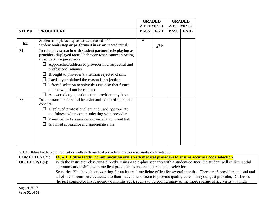|       |                                                                                                                                                                                                                                                                                                                                                                                                                          | <b>GRADED</b>   |             |                  | <b>GRADED</b> |  |
|-------|--------------------------------------------------------------------------------------------------------------------------------------------------------------------------------------------------------------------------------------------------------------------------------------------------------------------------------------------------------------------------------------------------------------------------|-----------------|-------------|------------------|---------------|--|
|       |                                                                                                                                                                                                                                                                                                                                                                                                                          | <b>ATTEMPT1</b> |             | <b>ATTEMPT 2</b> |               |  |
| STEP# | <b>PROCEDURE</b>                                                                                                                                                                                                                                                                                                                                                                                                         | <b>PASS</b>     | <b>FAIL</b> | <b>PASS</b>      | <b>FAIL</b>   |  |
|       |                                                                                                                                                                                                                                                                                                                                                                                                                          |                 |             |                  |               |  |
| Ex.   | Student completes step as written, record "√"<br>Student omits step or performs it in error, record initials                                                                                                                                                                                                                                                                                                             | $\checkmark$    | JH          |                  |               |  |
| 21.   | In role-play scenario with student partner (role playing as<br>provider) displayed tactful behavior when communicating<br>third party requirements<br>Approached/addressed provider in a respectful and<br>professional manner<br>Brought to provider's attention rejected claims<br>Tactfully explained the reason for rejection<br>Offered solution to solve this issue so that future<br>claims would not be rejected |                 |             |                  |               |  |
| 22.   | Answered any questions that provider may have<br>Demonstrated professional behavior and exhibited appropriate<br>conduct:<br>$\Box$ Displayed professionalism and used appropriate<br>tactfulness when communicating with provider<br>$\Box$ Prioritized tasks; remained organized throughout task<br>Groomed appearance and appropriate attire                                                                          |                 |             |                  |               |  |

IX.A.1. Utilize tactful communication skills with medical providers to ensure accurate code selection

| <b>COMPETENCY:</b>   | <b>IX.A.1. Utilize tactful communication skills with medical providers to ensure accurate code selection</b>                |
|----------------------|-----------------------------------------------------------------------------------------------------------------------------|
| <b>OBJECTIVE(s):</b> | With the instructor observing directly, using a role-play scenario with a student-partner, the student will utilize tactful |
|                      | communication skills with medical providers to ensure accurate code selection.                                              |
|                      | Scenario: You have been working for an internal medicine office for several months. There are 5 providers in total and      |
|                      | all of them seem very dedicated to their patients and seem to provide quality care. The youngest provider, Dr. Lewis        |
|                      | (he just completed his residency 6 months ago), seems to be coding many of the more routine office visits at a high         |

<span id="page-50-0"></span>August 2017 Page **51** of **58**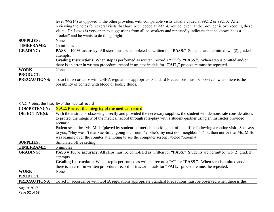|                     | level (99214) as opposed to the other providers with comparable visits usually coded at 99212 or 99213. After                      |
|---------------------|------------------------------------------------------------------------------------------------------------------------------------|
|                     | reviewing the notes for several visits that have been coded at 99214, you believe that the provider is over-coding these           |
|                     | visits. Dr. Lewis is very open to suggestions from all co-workers and repeatedly indicates that he knows he is a                   |
|                     | "rookie" and he wants to do things right.                                                                                          |
| <b>SUPPLIES:</b>    | None                                                                                                                               |
| <b>TIMEFRAME:</b>   | 15 minutes                                                                                                                         |
| <b>GRADING:</b>     | $PASS = 100\%$ accuracy; All steps must be completed as written for "PASS." Students are permitted two (2) graded                  |
|                     | attempts.                                                                                                                          |
|                     | <b>Grading Instructions:</b> When step is performed as written, record a " $\checkmark$ " for "PASS.". When step is omitted and/or |
|                     | there is an error in written procedure, record instructor initials for "FAIL," procedure must be repeated.                         |
| <b>WORK</b>         | None                                                                                                                               |
| <b>PRODUCT:</b>     |                                                                                                                                    |
| <b>PRECAUTIONS:</b> | To act in accordance with OSHA regulations appropriate Standard Precautions must be observed when there is the                     |
|                     | possibility of contact with blood or bodily fluids.                                                                                |

#### X.A.2. Protect the integrity of the medical record

| <b>COMPETENCY:</b>   | <b>X.A.2. Protect the integrity of the medical record</b>                                                                          |
|----------------------|------------------------------------------------------------------------------------------------------------------------------------|
| <b>OBJECTIVE(s):</b> | With the instructor observing directly and provided the necessary supplies, the student will demonstrate considerations            |
|                      | to protect the integrity of the medical record through role-play with a student-partner using an instructor provided               |
|                      | scenario.                                                                                                                          |
|                      | Patient scenario: Ms. Mills (played by student-partner) is checking out of the office following a routine visit. She says          |
|                      | to you, "Hey wasn't that Sue Smith going into room 4? She's my next door neighbor." You then notice that Ms. Mills                 |
|                      | was leaning over the counter attempting to see the computer screen labeled "Room 4."                                               |
| <b>SUPPLIES:</b>     | Simulated office setting                                                                                                           |
| <b>TIMEFRAME:</b>    | 5 minutes                                                                                                                          |
| <b>GRADING:</b>      | $PASS = 100\%$ accuracy; All steps must be completed as written for "PASS." Students are permitted two (2) graded                  |
|                      | attempts.                                                                                                                          |
|                      | <b>Grading Instructions:</b> When step is performed as written, record a " $\checkmark$ " for "PASS.". When step is omitted and/or |
|                      | there is an error in written procedure, record instructor initials for " <b>FAIL</b> ," procedure must be repeated.                |
| <b>WORK</b>          | None                                                                                                                               |
| <b>PRODUCT:</b>      |                                                                                                                                    |
| <b>PRECAUTIONS:</b>  | To act in accordance with OSHA regulations appropriate Standard Precautions must be observed when there is the                     |

<span id="page-51-0"></span>August 2017 Page **52** of **58**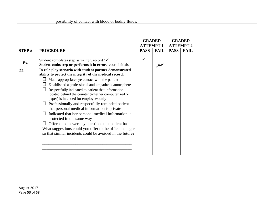#### possibility of contact with blood or bodily fluids**.**

|       |                                                                                                                                                    | <b>GRADED</b>    |             | <b>GRADED</b> |                  |
|-------|----------------------------------------------------------------------------------------------------------------------------------------------------|------------------|-------------|---------------|------------------|
|       |                                                                                                                                                    | <b>ATTEMPT 1</b> |             |               | <b>ATTEMPT 2</b> |
| STEP# | <b>PROCEDURE</b>                                                                                                                                   | <b>PASS</b>      | <b>FAIL</b> | <b>PASS</b>   | <b>FAIL</b>      |
| Ex.   | Student completes step as written, record "√"                                                                                                      |                  |             |               |                  |
|       | Student omits step or performs it in error, record initials                                                                                        |                  | JH          |               |                  |
| 23.   | In role-play scenario with student partner demonstrated<br>ability to protect the integrity of the medical record:                                 |                  |             |               |                  |
|       | Made appropriate eye contact with the patient                                                                                                      |                  |             |               |                  |
|       | Established a professional and empathetic atmosphere                                                                                               |                  |             |               |                  |
|       | Respectfully indicated to patient that information<br>located behind the counter (whether computerized or<br>paper) is intended for employees only |                  |             |               |                  |
|       | $\Box$ Professionally and respectfully reminded patient<br>that personal medical information is private                                            |                  |             |               |                  |
|       | Indicated that her personal medical information is<br>protected in the same way                                                                    |                  |             |               |                  |
|       | Offered to answer any questions that patient has<br>What suggestions could you offer to the office manager                                         |                  |             |               |                  |
|       | so that similar incidents could be avoided in the future?                                                                                          |                  |             |               |                  |
|       |                                                                                                                                                    |                  |             |               |                  |
|       |                                                                                                                                                    |                  |             |               |                  |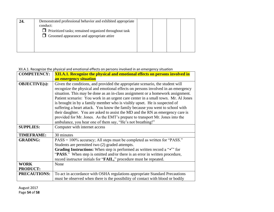| 24. | Demonstrated professional behavior and exhibited appropriate<br>conduct: |  |  |
|-----|--------------------------------------------------------------------------|--|--|
|     | $\Box$ Prioritized tasks; remained organized throughout task             |  |  |
|     | $\Box$ Groomed appearance and appropriate attire                         |  |  |
|     |                                                                          |  |  |

#### XII.A.1. Recognize the physical and emotional effects on persons involved in an emergency situation

| <b>COMPETENCY:</b>   | <b>XII.A.1. Recognize the physical and emotional effects on persons involved in</b>          |
|----------------------|----------------------------------------------------------------------------------------------|
|                      | an emergency situation                                                                       |
| <b>OBJECTIVE(s):</b> | Given the conditions, and provided the appropriate scenario, the student will                |
|                      | recognize the physical and emotional effects on persons involved in an emergency             |
|                      | situation. This may be done as an in-class assignment or a homework assignment.              |
|                      | Patient scenario: You work in an urgent care center in a small town. Mr. Al Jones            |
|                      | is brought in by a family member who is visibly upset. He is suspected of                    |
|                      | suffering a heart attack. You know the family because you went to school with                |
|                      | their daughter. You are asked to assist the MD and the RN as emergency care is               |
|                      | provided for Mr. Jones. As the EMT's prepare to transport Mr. Jones into the                 |
|                      | ambulance, you hear one of them say, "He's not breathing!"                                   |
| <b>SUPPLIES:</b>     | Computer with internet access                                                                |
| <b>TIMEFRAME:</b>    | 30 minutes                                                                                   |
| <b>GRADING:</b>      | PASS = 100% accuracy; All steps must be completed as written for "PASS."                     |
|                      | Students are permitted two (2) graded attempts.                                              |
|                      | <b>Grading Instructions:</b> When step is performed as written record a " $\checkmark$ " for |
|                      | "PASS." When step is omitted and/or there is an error in written procedure,                  |
|                      | record instructor initials for "FAIL," procedure must be repeated.                           |
| <b>WORK</b>          | None                                                                                         |
| <b>PRODUCT:</b>      |                                                                                              |
| <b>PRECAUTIONS:</b>  | To act in accordance with OSHA regulations appropriate Standard Precautions                  |
|                      | must be observed when there is the possibility of contact with blood or bodily               |

<span id="page-53-0"></span>August 2017 Page **54** of **58**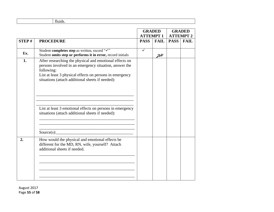| $\sim$ |
|--------|
|        |

|       |                                                                                                                                                                                                                                                                                                                                                                  |              | <b>GRADED</b><br><b>GRADED</b><br><b>ATTEMPT1</b><br><b>ATTEMPT 2</b> |             |             |
|-------|------------------------------------------------------------------------------------------------------------------------------------------------------------------------------------------------------------------------------------------------------------------------------------------------------------------------------------------------------------------|--------------|-----------------------------------------------------------------------|-------------|-------------|
| STEP# | <b>PROCEDURE</b>                                                                                                                                                                                                                                                                                                                                                 | <b>PASS</b>  | <b>FAIL</b>                                                           | <b>PASS</b> | <b>FAIL</b> |
| Ex.   | Student completes step as written, record "√"<br>Student omits step or performs it in error, record initials                                                                                                                                                                                                                                                     | $\checkmark$ | $\mathcal{H}$                                                         |             |             |
| 1.    | After researching the physical and emotional effects on<br>persons involved in an emergency situation, answer the<br>following:<br>List at least 3 physical effects on persons in emergency<br>situations (attach additional sheets if needed):<br>List at least 3 emotional effects on persons in emergency<br>situations (attach additional sheets if needed): |              |                                                                       |             |             |
|       |                                                                                                                                                                                                                                                                                                                                                                  |              |                                                                       |             |             |
| 2.    | How would the physical and emotional effects be<br>different for the MD, RN, wife, yourself? Attach<br>additional sheets if needed.                                                                                                                                                                                                                              |              |                                                                       |             |             |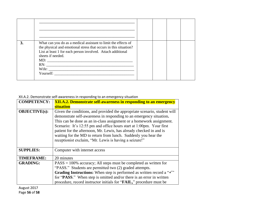| 3. | What can you do as a medical assistant to limit the effects of<br>the physical and emotional stress that occurs in this situation?<br>List at least 1 for each person involved. Attach additional<br>sheets if needed.<br>Yourself: |  |  |
|----|-------------------------------------------------------------------------------------------------------------------------------------------------------------------------------------------------------------------------------------|--|--|

#### XII.A.2. Demonstrate self-awareness in responding to an emergency situation

| <b>COMPETENCY:</b>                                                                                                                                                                                                                                                                                                                                                                                                                                                                                                          | <b>XII.A.2. Demonstrate self-awareness in responding to an emergency</b>                                                                                                                                                                                                                                                                                           |  |  |  |
|-----------------------------------------------------------------------------------------------------------------------------------------------------------------------------------------------------------------------------------------------------------------------------------------------------------------------------------------------------------------------------------------------------------------------------------------------------------------------------------------------------------------------------|--------------------------------------------------------------------------------------------------------------------------------------------------------------------------------------------------------------------------------------------------------------------------------------------------------------------------------------------------------------------|--|--|--|
|                                                                                                                                                                                                                                                                                                                                                                                                                                                                                                                             | situation                                                                                                                                                                                                                                                                                                                                                          |  |  |  |
| <b>OBJECTIVE(s):</b><br>Given the conditions, and provided the appropriate scenario, student will<br>demonstrate self-awareness in responding to an emergency situation.<br>This can be done as an in-class assignment or a homework assignment.<br>Scenario: It's 12:55 pm and office hours start at 1:00pm. Your first<br>patient for the afternoon, Mr. Lewis, has already checked in and is<br>waiting for the MD to return from lunch. Suddenly you hear the<br>receptionist exclaim, "Mr. Lewis is having a seizure!" |                                                                                                                                                                                                                                                                                                                                                                    |  |  |  |
| <b>SUPPLIES:</b>                                                                                                                                                                                                                                                                                                                                                                                                                                                                                                            | Computer with internet access                                                                                                                                                                                                                                                                                                                                      |  |  |  |
| <b>TIMEFRAME:</b>                                                                                                                                                                                                                                                                                                                                                                                                                                                                                                           | 20 minutes                                                                                                                                                                                                                                                                                                                                                         |  |  |  |
| <b>GRADING:</b>                                                                                                                                                                                                                                                                                                                                                                                                                                                                                                             | $PASS = 100\%$ accuracy; All steps must be completed as written for<br>"PASS." Students are permitted two (2) graded attempts.<br>Grading Instructions: When step is performed as written record a " $\checkmark$ "<br>for "PASS." When step is omitted and/or there is an error in written<br>procedure, record instructor initials for "FAIL," procedure must be |  |  |  |

<span id="page-55-0"></span>August 2017 Page **56** of **58**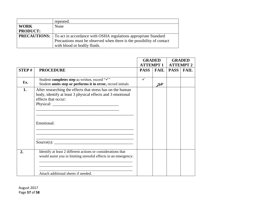|                 | repeated.                                                                           |  |
|-----------------|-------------------------------------------------------------------------------------|--|
| <b>WORK</b>     | None                                                                                |  |
| <b>PRODUCT:</b> |                                                                                     |  |
|                 | <b>PRECAUTIONS:</b> To act in accordance with OSHA regulations appropriate Standard |  |
|                 | Precautions must be observed when there is the possibility of contact               |  |
|                 | with blood or bodily fluids.                                                        |  |

|              |                                                                                                                                                                        | <b>GRADED</b>    |                | <b>GRADED</b>    |             |
|--------------|------------------------------------------------------------------------------------------------------------------------------------------------------------------------|------------------|----------------|------------------|-------------|
|              |                                                                                                                                                                        | <b>ATTEMPT 1</b> |                | <b>ATTEMPT 2</b> |             |
| <b>STEP#</b> | <b>PROCEDURE</b>                                                                                                                                                       | <b>PASS</b>      | <b>FAIL</b>    | <b>PASS</b>      | <b>FAIL</b> |
|              |                                                                                                                                                                        |                  |                |                  |             |
| Ex.          | Student completes step as written, record "√"<br>Student omits step or performs it in error, record initials                                                           | $\checkmark$     | $\mathcal{JH}$ |                  |             |
| 1.           | After researching the effects that stress has on the human<br>body, identify at least 3 physical effects and 3 emotional<br>effects that occur:<br>Emotional:          |                  |                |                  |             |
| 2.           | Identify at least 2 different actions or considerations that<br>would assist you in limiting stressful effects in an emergency:<br>Attach additional sheets if needed. |                  |                |                  |             |

August 2017 Page **57** of **58**